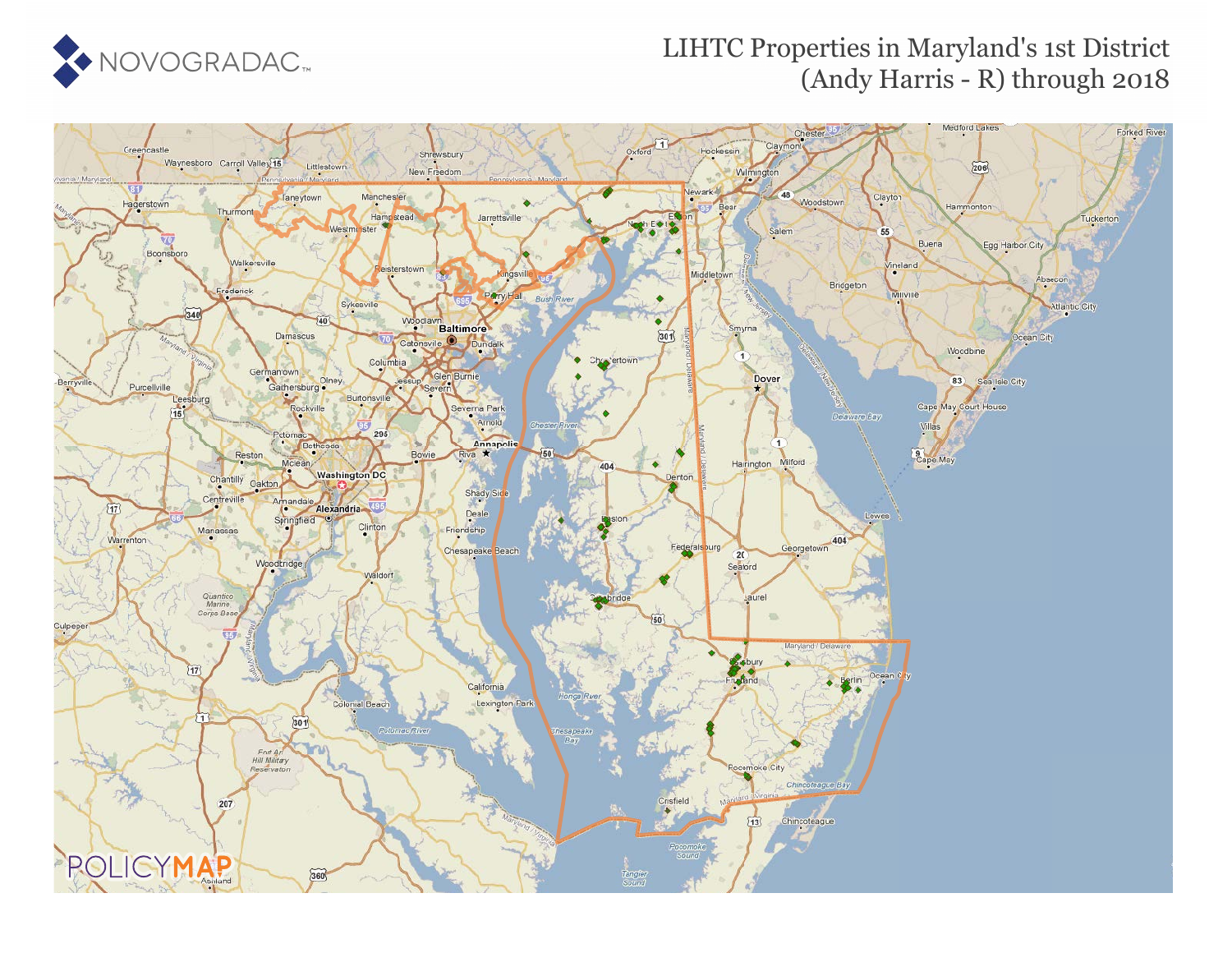

#### LIHTC Properties in Maryland's 1st District (Andy Harris - R) through 2018

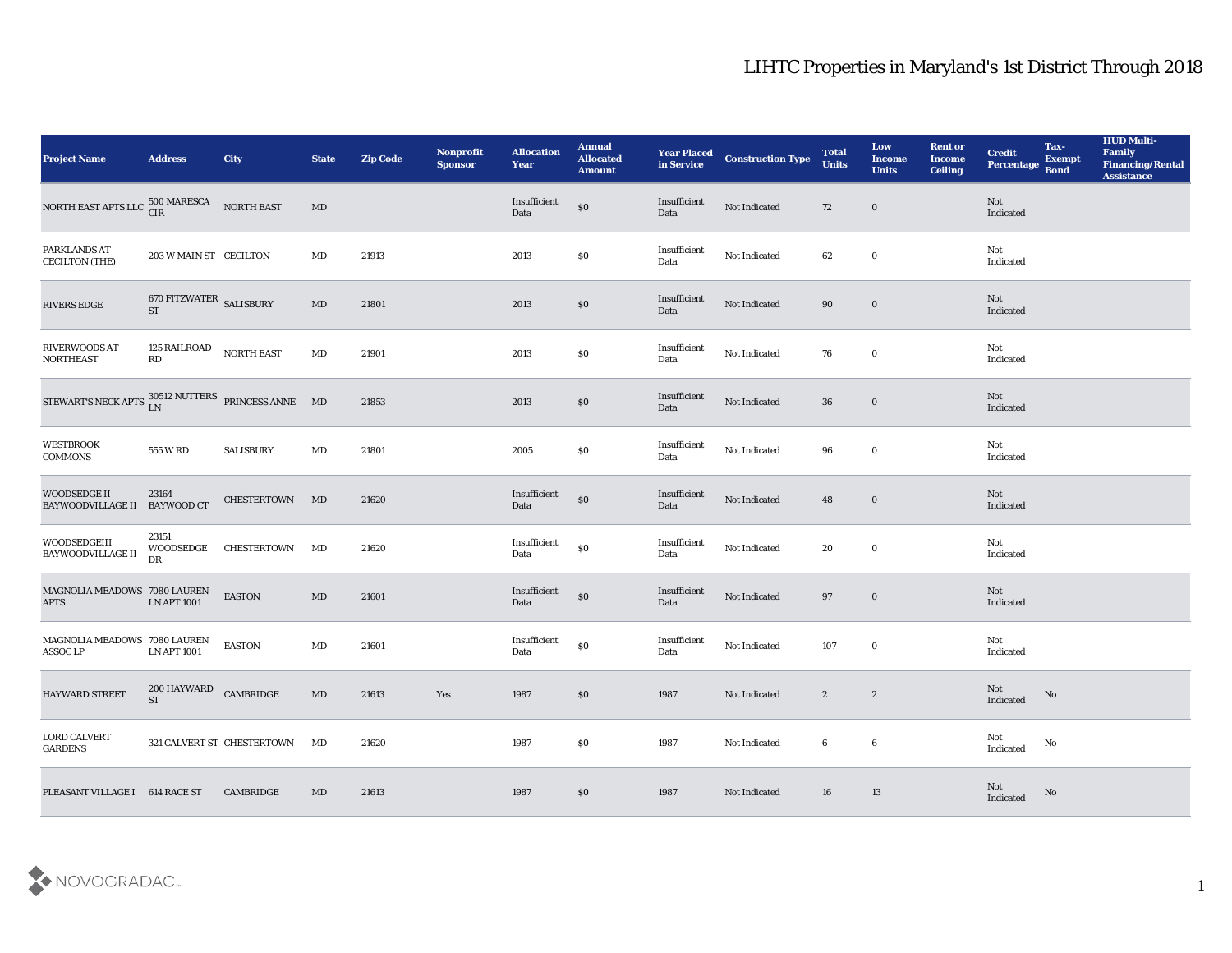| <b>Project Name</b>                                                   | <b>Address</b>                       | City                          | <b>State</b>           | <b>Zip Code</b> | Nonprofit<br><b>Sponsor</b> | <b>Allocation</b><br>Year | <b>Annual</b><br><b>Allocated</b><br><b>Amount</b> | <b>Year Placed<br/>in Service</b> | <b>Construction Type</b> | <b>Total</b><br><b>Units</b> | Low<br><b>Income</b><br><b>Units</b> | <b>Rent or</b><br><b>Income</b><br><b>Ceiling</b> | <b>Credit</b><br>Percentage Bond | Tax-<br><b>Exempt</b> | <b>HUD Multi-</b><br>Family<br><b>Financing/Rental</b><br><b>Assistance</b> |
|-----------------------------------------------------------------------|--------------------------------------|-------------------------------|------------------------|-----------------|-----------------------------|---------------------------|----------------------------------------------------|-----------------------------------|--------------------------|------------------------------|--------------------------------------|---------------------------------------------------|----------------------------------|-----------------------|-----------------------------------------------------------------------------|
| NORTH EAST APTS LLC $^{500 \text{ MARESCA}}_{\text{CIR}}$ NORTH EAST  |                                      |                               | $\mathbf{M}\mathbf{D}$ |                 |                             | Insufficient<br>Data      | $\$0$                                              | Insufficient<br>Data              | Not Indicated            | 72                           | $\bf{0}$                             |                                                   | Not<br>Indicated                 |                       |                                                                             |
| PARKLANDS AT<br><b>CECILTON (THE)</b>                                 | 203 W MAIN ST CECILTON               |                               | MD                     | 21913           |                             | 2013                      | \$0                                                | Insufficient<br>Data              | Not Indicated            | 62                           | $\bf{0}$                             |                                                   | Not<br>Indicated                 |                       |                                                                             |
| RIVERS EDGE                                                           | 670 FITZWATER SALISBURY<br><b>ST</b> |                               | MD                     | 21801           |                             | 2013                      | \$0                                                | Insufficient<br>Data              | Not Indicated            | 90                           | $\bf{0}$                             |                                                   | Not<br>Indicated                 |                       |                                                                             |
| <b>RIVERWOODS AT</b><br><b>NORTHEAST</b>                              | 125 RAILROAD<br>RD                   | <b>NORTH EAST</b>             | $\mathbf{M}\mathbf{D}$ | 21901           |                             | 2013                      | \$0                                                | Insufficient<br>Data              | Not Indicated            | 76                           | $\bf{0}$                             |                                                   | Not<br>Indicated                 |                       |                                                                             |
| STEWART'S NECK APTS $_{\rm LN}^{30512\,\rm NUTTERS}$ PRINCESS ANNE MD |                                      |                               |                        | 21853           |                             | 2013                      | \$0                                                | Insufficient<br>Data              | Not Indicated            | 36                           | $\mathbf 0$                          |                                                   | Not<br>Indicated                 |                       |                                                                             |
| <b>WESTBROOK</b><br><b>COMMONS</b>                                    | 555 W RD                             | <b>SALISBURY</b>              | MD                     | 21801           |                             | 2005                      | \$0                                                | Insufficient<br>Data              | Not Indicated            | 96                           | $\bf{0}$                             |                                                   | Not<br>Indicated                 |                       |                                                                             |
| <b>WOODSEDGE II</b><br><b>BAYWOODVILLAGE II</b>                       | 23164<br><b>BAYWOOD CT</b>           | CHESTERTOWN                   | MD                     | 21620           |                             | Insufficient<br>Data      | $\$0$                                              | Insufficient<br>Data              | Not Indicated            | 48                           | $\mathbf 0$                          |                                                   | Not<br>Indicated                 |                       |                                                                             |
| WOODSEDGEIII<br>BAYWOODVILLAGE II                                     | 23151<br>WOODSEDGE<br>DR             | <b>CHESTERTOWN</b>            | MD                     | 21620           |                             | Insufficient<br>Data      | $\$0$                                              | Insufficient<br>Data              | Not Indicated            | 20                           | $\bf{0}$                             |                                                   | Not<br>Indicated                 |                       |                                                                             |
| MAGNOLIA MEADOWS 7080 LAUREN<br><b>APTS</b>                           | <b>LN APT 1001</b>                   | <b>EASTON</b>                 | $\mathbf{M}\mathbf{D}$ | 21601           |                             | Insufficient<br>Data      | $\$0$                                              | Insufficient<br>Data              | Not Indicated            | 97                           | $\bf{0}$                             |                                                   | Not<br>Indicated                 |                       |                                                                             |
| MAGNOLIA MEADOWS 7080 LAUREN<br><b>ASSOC LP</b>                       | <b>LN APT 1001</b>                   | <b>EASTON</b>                 | $\rm MD$               | 21601           |                             | Insufficient<br>Data      | $\$0$                                              | Insufficient<br>Data              | Not Indicated            | 107                          | $\bf{0}$                             |                                                   | Not<br>Indicated                 |                       |                                                                             |
| HAYWARD STREET                                                        | 200 HAYWARD<br><b>ST</b>             | CAMBRIDGE                     | MD                     | 21613           | Yes                         | 1987                      | \$0                                                | 1987                              | Not Indicated            | $\mathbf{2}$                 | $\boldsymbol{2}$                     |                                                   | Not<br>Indicated                 | No                    |                                                                             |
| <b>LORD CALVERT</b><br><b>GARDENS</b>                                 |                                      | 321 CALVERT ST CHESTERTOWN MD |                        | 21620           |                             | 1987                      | $\$0$                                              | 1987                              | Not Indicated            | $6\phantom{.0}$              | $\bf 6$                              |                                                   | Not<br>Indicated                 | $\rm No$              |                                                                             |
| PLEASANT VILLAGE I 614 RACE ST                                        |                                      | CAMBRIDGE                     | MD                     | 21613           |                             | 1987                      | $\$0$                                              | 1987                              | Not Indicated            | 16                           | 13                                   |                                                   | <b>Not</b><br>Indicated          | No                    |                                                                             |

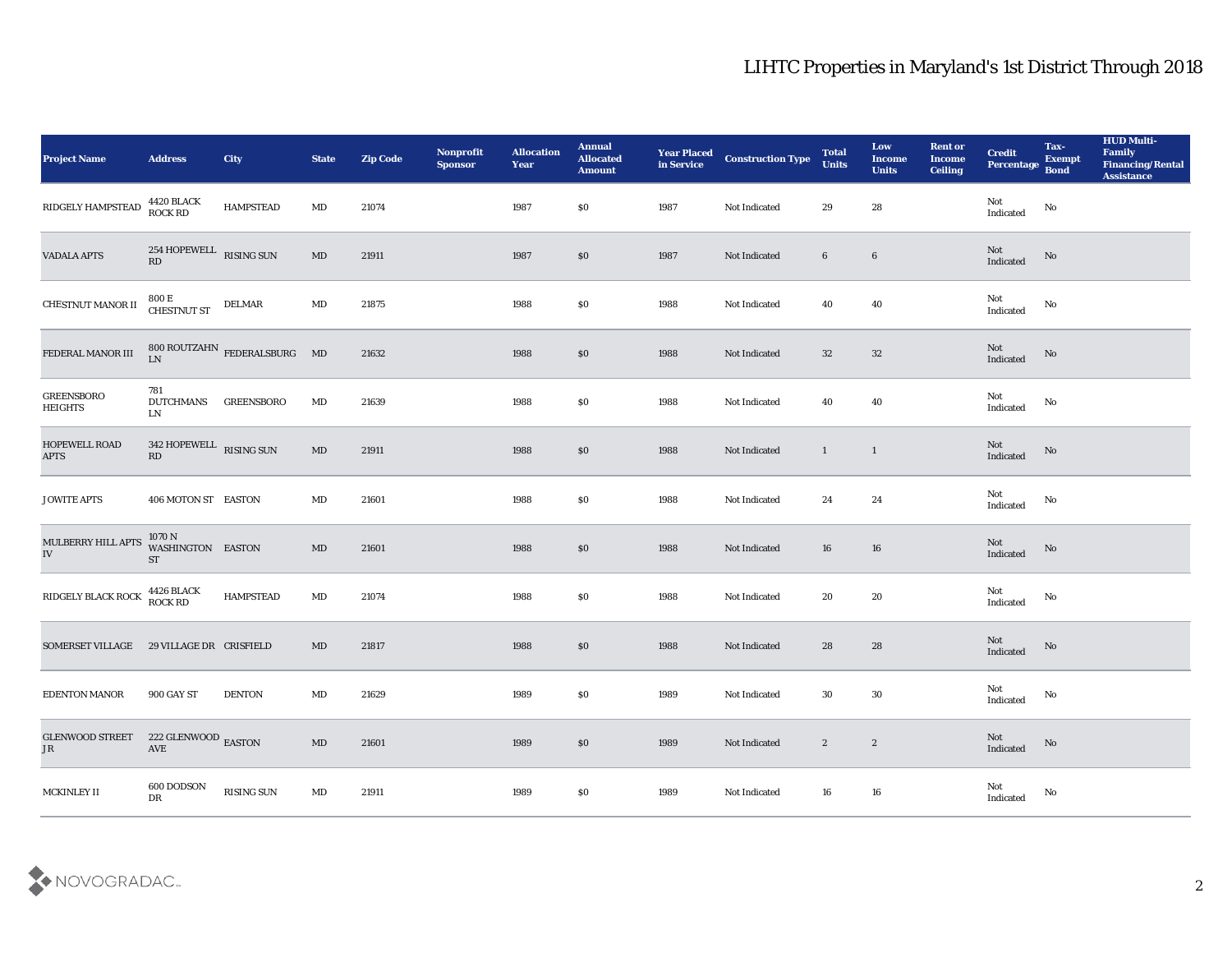| <b>Project Name</b>                 | <b>Address</b>                        | <b>City</b>                                                        | <b>State</b>           | <b>Zip Code</b> | Nonprofit<br><b>Sponsor</b> | <b>Allocation</b><br>Year | <b>Annual</b><br><b>Allocated</b><br><b>Amount</b> | <b>Year Placed</b><br>in Service | <b>Construction Type</b> | <b>Total</b><br><b>Units</b> | Low<br><b>Income</b><br><b>Units</b> | <b>Rent or</b><br><b>Income</b><br><b>Ceiling</b> | <b>Credit</b><br>Percentage Bond      | Tax-<br><b>Exempt</b>  | <b>HUD Multi-</b><br>Family<br><b>Financing/Rental</b><br><b>Assistance</b> |
|-------------------------------------|---------------------------------------|--------------------------------------------------------------------|------------------------|-----------------|-----------------------------|---------------------------|----------------------------------------------------|----------------------------------|--------------------------|------------------------------|--------------------------------------|---------------------------------------------------|---------------------------------------|------------------------|-----------------------------------------------------------------------------|
| RIDGELY HAMPSTEAD                   | 4420 BLACK<br>ROCK RD                 | <b>HAMPSTEAD</b>                                                   | $\mathbf{M}\mathbf{D}$ | 21074           |                             | 1987                      | \$0                                                | 1987                             | Not Indicated            | 29                           | 28                                   |                                                   | Not<br>Indicated                      | $\rm No$               |                                                                             |
| <b>VADALA APTS</b>                  | 254 HOPEWELL RISING SUN<br>RD         |                                                                    | MD                     | 21911           |                             | 1987                      | \$0                                                | 1987                             | Not Indicated            | $6\phantom{.}6$              | $\bf 6$                              |                                                   | $\operatorname{\bf Not}$<br>Indicated | No                     |                                                                             |
| CHESTNUT MANOR II                   | 800 E<br>CHESTNUT ST                  | <b>DELMAR</b>                                                      | $\mathbf{M}\mathbf{D}$ | 21875           |                             | 1988                      | \$0                                                | 1988                             | Not Indicated            | 40                           | 40                                   |                                                   | Not<br>Indicated                      | No                     |                                                                             |
| FEDERAL MANOR III                   | LN                                    | $800\;\mathrm{ROUTZAHN}\;\;\mathrm{FEDERALSBURG}\qquad\mathrm{MD}$ |                        | 21632           |                             | 1988                      | \$0                                                | 1988                             | Not Indicated            | 32                           | 32                                   |                                                   | Not<br>Indicated                      | $\mathbf{N}\mathbf{o}$ |                                                                             |
| <b>GREENSBORO</b><br><b>HEIGHTS</b> | 781<br><b>DUTCHMANS</b><br>${\rm LN}$ | <b>GREENSBORO</b>                                                  | MD                     | 21639           |                             | 1988                      | \$0                                                | 1988                             | Not Indicated            | 40                           | 40                                   |                                                   | Not<br>$\operatorname{Indicated}$     | No                     |                                                                             |
| <b>HOPEWELL ROAD</b><br><b>APTS</b> | 342 HOPEWELL RISING SUN<br>RD         |                                                                    | MD                     | 21911           |                             | 1988                      | \$0                                                | 1988                             | Not Indicated            | $\mathbf{1}$                 | $\overline{1}$                       |                                                   | Not<br>Indicated                      | No                     |                                                                             |
| <b>JOWITE APTS</b>                  | 406 MOTON ST EASTON                   |                                                                    | MD                     | 21601           |                             | 1988                      | \$0                                                | 1988                             | Not Indicated            | 24                           | 24                                   |                                                   | Not<br>$\operatorname{Indicated}$     | No                     |                                                                             |
| MULBERRY HILL APTS<br>${\bf IV}$    | 1070 N<br>WASHINGTON EASTON<br>ST     |                                                                    | MD                     | 21601           |                             | 1988                      | $\$0$                                              | 1988                             | Not Indicated            | 16                           | 16                                   |                                                   | Not<br>Indicated                      | No                     |                                                                             |
| RIDGELY BLACK ROCK                  | 4426 BLACK<br>ROCK RD                 | <b>HAMPSTEAD</b>                                                   | MD                     | 21074           |                             | 1988                      | \$0                                                | 1988                             | Not Indicated            | 20                           | 20                                   |                                                   | Not<br>Indicated                      | No                     |                                                                             |
| <b>SOMERSET VILLAGE</b>             | 29 VILLAGE DR CRISFIELD               |                                                                    | MD                     | 21817           |                             | 1988                      | $\$0$                                              | 1988                             | Not Indicated            | 28                           | 28                                   |                                                   | Not<br>Indicated                      | No                     |                                                                             |
| <b>EDENTON MANOR</b>                | 900 GAY ST                            | <b>DENTON</b>                                                      | MD                     | 21629           |                             | 1989                      | \$0                                                | 1989                             | Not Indicated            | 30                           | 30                                   |                                                   | Not<br>Indicated                      | No                     |                                                                             |
| <b>GLENWOOD STREET</b><br>$\rm JR$  | $222$ GLENWOOD $\,$ EASTON $\,$       |                                                                    | $\mathbf{M}\mathbf{D}$ | 21601           |                             | 1989                      | $\$0$                                              | 1989                             | Not Indicated            | $\boldsymbol{2}$             | $\mathbf{2}$                         |                                                   | Not<br>Indicated                      | $\rm \bf No$           |                                                                             |
| MCKINLEY II                         | 600 DODSON<br>${\rm D}{\rm R}$        | <b>RISING SUN</b>                                                  | $\mathbf{M}\mathbf{D}$ | 21911           |                             | 1989                      | \$0                                                | 1989                             | Not Indicated            | 16                           | ${\bf 16}$                           |                                                   | Not<br>Indicated                      | No                     |                                                                             |

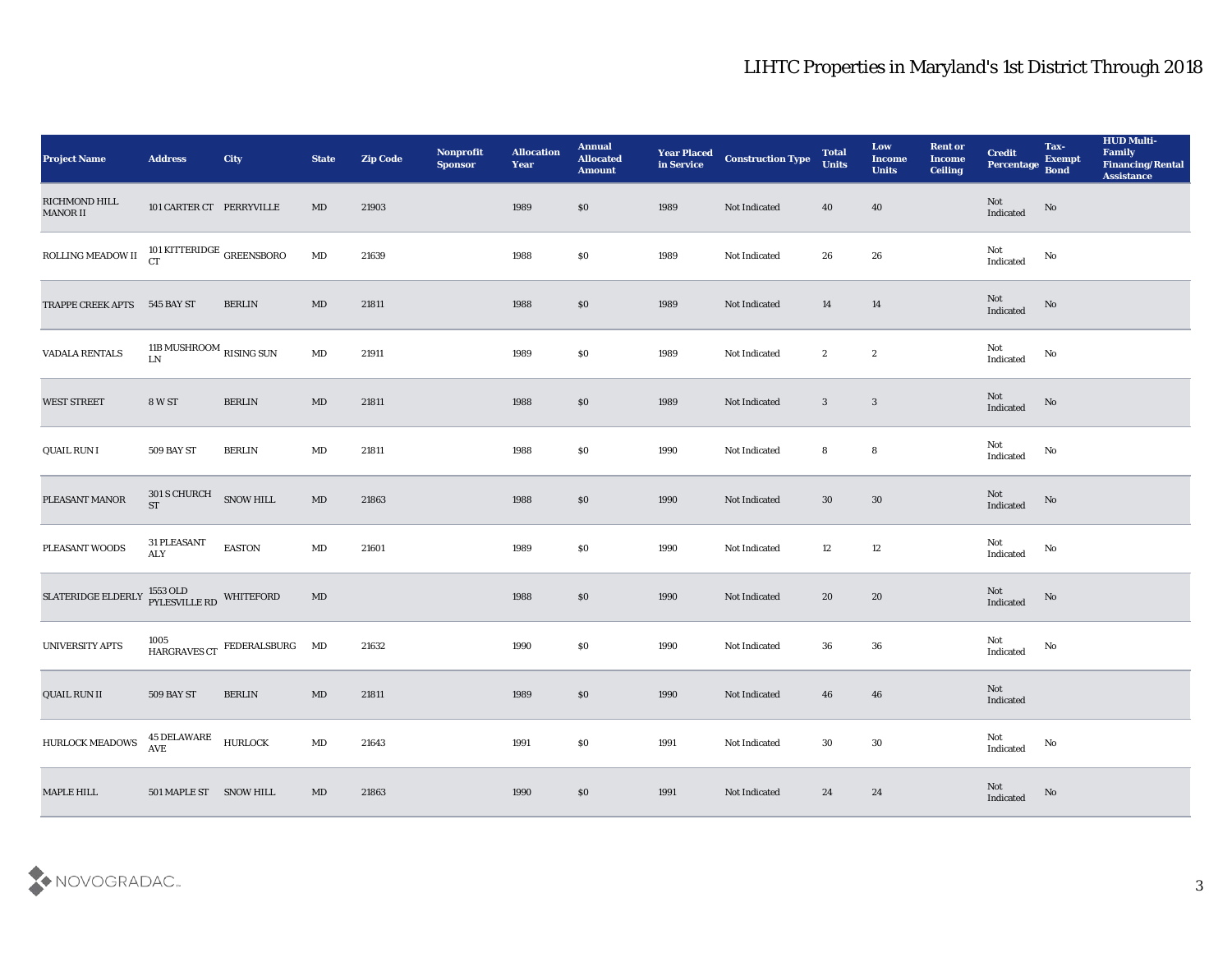| <b>Project Name</b>          | <b>Address</b>                                 | <b>City</b>                                                 | <b>State</b>           | <b>Zip Code</b> | Nonprofit<br><b>Sponsor</b> | <b>Allocation</b><br><b>Year</b> | <b>Annual</b><br><b>Allocated</b><br><b>Amount</b> |      | <b>Year Placed Construction Type</b><br>in Service <b>Construction</b> Type | <b>Total</b><br><b>Units</b> | Low<br><b>Income</b><br><b>Units</b> | <b>Rent or</b><br><b>Income</b><br><b>Ceiling</b> | <b>Credit</b><br>Percentage Bond                  | Tax-<br><b>Exempt</b>  | <b>HUD Multi-</b><br>Family<br><b>Financing/Rental</b><br>Assistance |
|------------------------------|------------------------------------------------|-------------------------------------------------------------|------------------------|-----------------|-----------------------------|----------------------------------|----------------------------------------------------|------|-----------------------------------------------------------------------------|------------------------------|--------------------------------------|---------------------------------------------------|---------------------------------------------------|------------------------|----------------------------------------------------------------------|
| RICHMOND HILL<br>MANOR II    | 101 CARTER CT PERRYVILLE                       |                                                             | MD                     | 21903           |                             | 1989                             | \$0                                                | 1989 | Not Indicated                                                               | 40                           | 40                                   |                                                   | Not<br>Indicated                                  | $\rm No$               |                                                                      |
| ROLLING MEADOW II            | 101 KITTERIDGE $_{\mbox{GREENSBORO}}$          |                                                             | $\mathbf{M}\mathbf{D}$ | 21639           |                             | 1988                             | \$0                                                | 1989 | Not Indicated                                                               | 26                           | 26                                   |                                                   | Not<br>Indicated                                  | No                     |                                                                      |
| TRAPPE CREEK APTS 545 BAY ST |                                                | <b>BERLIN</b>                                               | MD                     | 21811           |                             | 1988                             | \$0                                                | 1989 | Not Indicated                                                               | 14                           | 14                                   |                                                   | Not<br>Indicated                                  | No                     |                                                                      |
| VADALA RENTALS               | 11B MUSHROOM $_{\rm RISING}$ SUN<br>${\rm LN}$ |                                                             | MD                     | 21911           |                             | 1989                             | \$0                                                | 1989 | Not Indicated                                                               | $\boldsymbol{2}$             | $\boldsymbol{2}$                     |                                                   | Not<br>Indicated                                  | No                     |                                                                      |
| <b>WEST STREET</b>           | <b>8 W ST</b>                                  | <b>BERLIN</b>                                               | MD                     | 21811           |                             | 1988                             | \$0                                                | 1989 | Not Indicated                                                               | $\mathbf{3}$                 | $\mathbf{3}$                         |                                                   | Not<br>Indicated                                  | No                     |                                                                      |
| QUAIL RUN I                  | 509 BAY ST                                     | <b>BERLIN</b>                                               | MD                     | 21811           |                             | 1988                             | \$0                                                | 1990 | Not Indicated                                                               | 8                            | ${\bf 8}$                            |                                                   | Not<br>$\operatorname{Indicated}$                 | No                     |                                                                      |
| PLEASANT MANOR               | $301$ S CHURCH $$\sf{S}NOW$ HILL $$S T$        |                                                             | MD                     | 21863           |                             | 1988                             | \$0                                                | 1990 | Not Indicated                                                               | 30                           | 30                                   |                                                   | ${\rm Not}$ Indicated                             | No                     |                                                                      |
| PLEASANT WOODS               | 31 PLEASANT<br>ALY                             | <b>EASTON</b>                                               | $\mathbf{M}\mathbf{D}$ | 21601           |                             | 1989                             | \$0                                                | 1990 | Not Indicated                                                               | 12                           | 12                                   |                                                   | Not<br>Indicated                                  | No                     |                                                                      |
| SLATERIDGE ELDERLY           | 1553 OLD WHITEFORD PYLESVILLE RD               |                                                             | $\mathbf{M}\mathbf{D}$ |                 |                             | 1988                             | \$0                                                | 1990 | Not Indicated                                                               | 20                           | 20                                   |                                                   | Not<br>Indicated                                  | $\rm No$               |                                                                      |
| <b>UNIVERSITY APTS</b>       |                                                | $1005$ $$\tt HARGRAVES\,CT$ $$\tt FEDERALSBURG$$ $$\tt MD$$ |                        | 21632           |                             | 1990                             | \$0                                                | 1990 | Not Indicated                                                               | 36                           | 36                                   |                                                   | Not<br>Indicated                                  | No                     |                                                                      |
| QUAIL RUN II                 | 509 BAY ST                                     | <b>BERLIN</b>                                               | MD                     | 21811           |                             | 1989                             | \$0                                                | 1990 | Not Indicated                                                               | 46                           | 46                                   |                                                   | Not<br>Indicated                                  |                        |                                                                      |
| HURLOCK MEADOWS              | 45 DELAWARE<br>AVE                             | <b>HURLOCK</b>                                              | $\mathbf{M}\mathbf{D}$ | 21643           |                             | 1991                             | $\$0$                                              | 1991 | Not Indicated                                                               | $30\,$                       | $30\,$                               |                                                   | Not<br>$\label{thm:indicated} \textbf{Indicated}$ | $\rm \bf No$           |                                                                      |
| MAPLE HILL                   | 501 MAPLE ST SNOW HILL                         |                                                             | $\mathbf{M}\mathbf{D}$ | 21863           |                             | 1990                             | $\$0$                                              | 1991 | Not Indicated                                                               | 24                           | $\bf 24$                             |                                                   | Not<br>Indicated                                  | $\mathbf{N}\mathbf{o}$ |                                                                      |

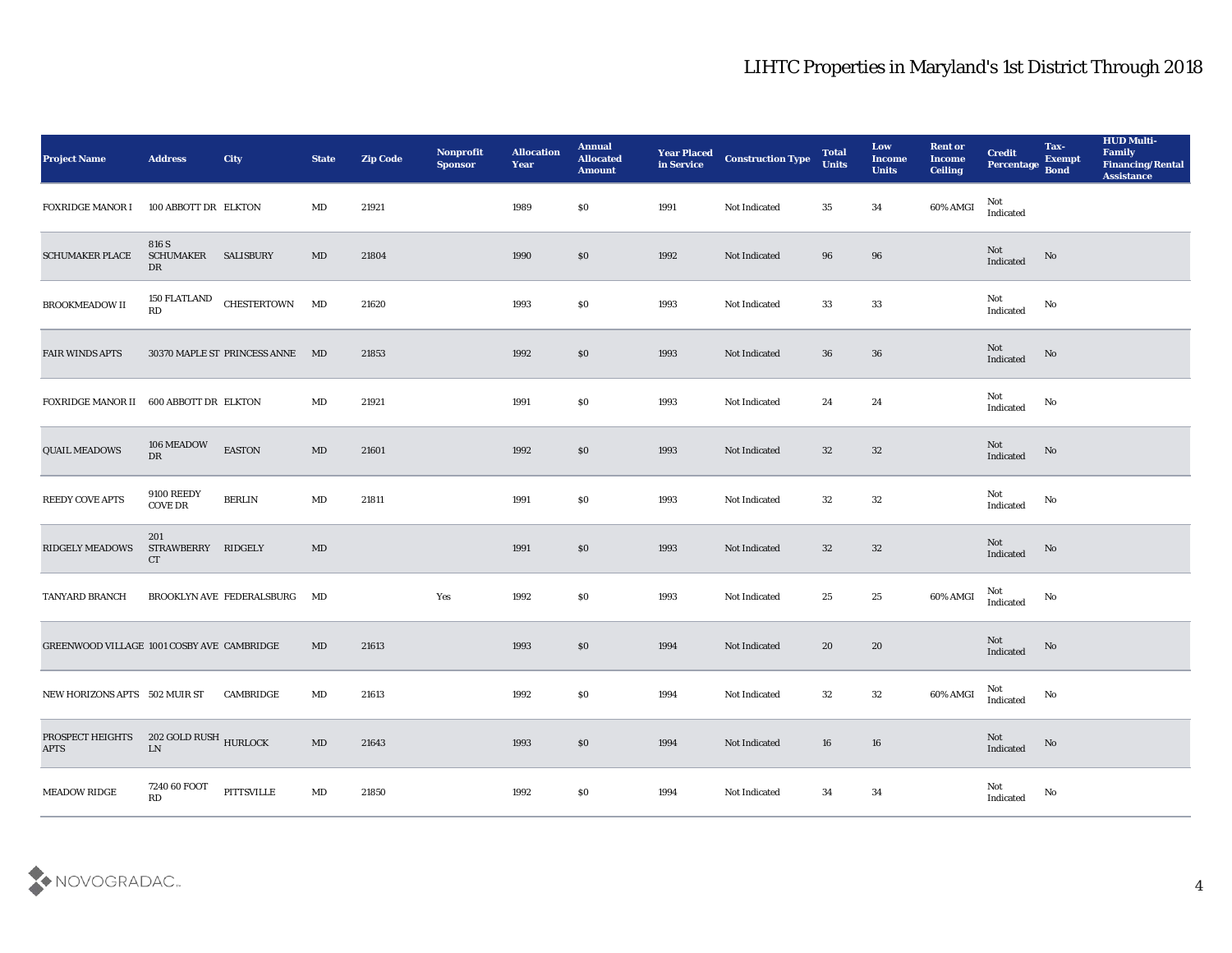| <b>Project Name</b>                        | <b>Address</b>                      | City                                       | <b>State</b>           | <b>Zip Code</b> | Nonprofit<br><b>Sponsor</b> | <b>Allocation</b><br><b>Year</b> | <b>Annual</b><br><b>Allocated</b><br><b>Amount</b> | <b>Year Placed<br/>in Service</b> | <b>Construction Type</b> | <b>Total</b><br><b>Units</b> | Low<br><b>Income</b><br><b>Units</b> | <b>Rent or</b><br><b>Income</b><br><b>Ceiling</b> | <b>Credit</b><br>Percentage       | Tax-<br><b>Exempt</b><br><b>Bond</b> | <b>HUD Multi-</b><br>Family<br><b>Financing/Rental</b><br><b>Assistance</b> |
|--------------------------------------------|-------------------------------------|--------------------------------------------|------------------------|-----------------|-----------------------------|----------------------------------|----------------------------------------------------|-----------------------------------|--------------------------|------------------------------|--------------------------------------|---------------------------------------------------|-----------------------------------|--------------------------------------|-----------------------------------------------------------------------------|
| <b>FOXRIDGE MANOR I</b>                    | 100 ABBOTT DR ELKTON                |                                            | MD                     | 21921           |                             | 1989                             | \$0                                                | 1991                              | Not Indicated            | 35                           | 34                                   | 60% AMGI                                          | Not<br>$\operatorname{Indicated}$ |                                      |                                                                             |
| <b>SCHUMAKER PLACE</b>                     | 816 S<br><b>SCHUMAKER</b><br>DR     | <b>SALISBURY</b>                           | MD                     | 21804           |                             | 1990                             | \$0                                                | 1992                              | Not Indicated            | 96                           | 96                                   |                                                   | Not<br>Indicated                  | No                                   |                                                                             |
| BROOKMEADOW II                             | <b>150 FLATLAND</b><br>RD           | <b>CHESTERTOWN</b>                         | MD                     | 21620           |                             | 1993                             | \$0                                                | 1993                              | Not Indicated            | 33                           | 33                                   |                                                   | Not<br>Indicated                  | No                                   |                                                                             |
| <b>FAIR WINDS APTS</b>                     |                                     | 30370 MAPLE ST PRINCESS ANNE MD            |                        | 21853           |                             | 1992                             | \$0                                                | 1993                              | Not Indicated            | 36                           | 36                                   |                                                   | Not<br>Indicated                  | No                                   |                                                                             |
| <b>FOXRIDGE MANOR II</b>                   | 600 ABBOTT DR ELKTON                |                                            | MD                     | 21921           |                             | 1991                             | \$0                                                | 1993                              | Not Indicated            | 24                           | 24                                   |                                                   | Not<br>Indicated                  | No                                   |                                                                             |
| <b>QUAIL MEADOWS</b>                       | 106 MEADOW<br>DR                    | <b>EASTON</b>                              | $\mathbf{M}\mathbf{D}$ | 21601           |                             | 1992                             | \$0                                                | 1993                              | Not Indicated            | 32                           | 32                                   |                                                   | Not<br>Indicated                  | No                                   |                                                                             |
| <b>REEDY COVE APTS</b>                     | <b>9100 REEDY</b><br><b>COVE DR</b> | <b>BERLIN</b>                              | MD                     | 21811           |                             | 1991                             | \$0                                                | 1993                              | <b>Not Indicated</b>     | 32                           | 32                                   |                                                   | Not<br>Indicated                  | No                                   |                                                                             |
| <b>RIDGELY MEADOWS</b>                     | 201<br>STRAWBERRY RIDGELY<br>CT     |                                            | MD                     |                 |                             | 1991                             | \$0                                                | 1993                              | Not Indicated            | 32                           | 32                                   |                                                   | Not<br>Indicated                  | No                                   |                                                                             |
| TANYARD BRANCH                             |                                     | BROOKLYN AVE FEDERALSBURG                  | MD                     |                 | Yes                         | 1992                             | \$0                                                | 1993                              | Not Indicated            | 25                           | $25\,$                               | 60% AMGI                                          | Not<br>Indicated                  | No                                   |                                                                             |
| GREENWOOD VILLAGE 1001 COSBY AVE CAMBRIDGE |                                     |                                            | MD                     | 21613           |                             | 1993                             | \$0                                                | 1994                              | Not Indicated            | 20                           | 20                                   |                                                   | Not<br>Indicated                  | No                                   |                                                                             |
| NEW HORIZONS APTS 502 MUIR ST              |                                     | CAMBRIDGE                                  | MD                     | 21613           |                             | 1992                             | \$0                                                | 1994                              | Not Indicated            | 32                           | 32                                   | 60% AMGI                                          | Not<br>Indicated                  | No                                   |                                                                             |
| PROSPECT HEIGHTS<br><b>APTS</b>            | 202 GOLD RUSH $\,$ HURLOCK LN       |                                            | $\mathbf{M}\mathbf{D}$ | 21643           |                             | 1993                             | $\$0$                                              | 1994                              | Not Indicated            | 16                           | $16\,$                               |                                                   | Not<br>Indicated                  | $\rm No$                             |                                                                             |
| <b>MEADOW RIDGE</b>                        | 7240 60 FOOT<br>RD                  | $\ensuremath{\mathsf{P}}\xspace$ ITTSVILLE | MD                     | 21850           |                             | 1992                             | $\$0$                                              | 1994                              | Not Indicated            | 34                           | 34                                   |                                                   | Not<br>Indicated                  | $\rm \bf No$                         |                                                                             |

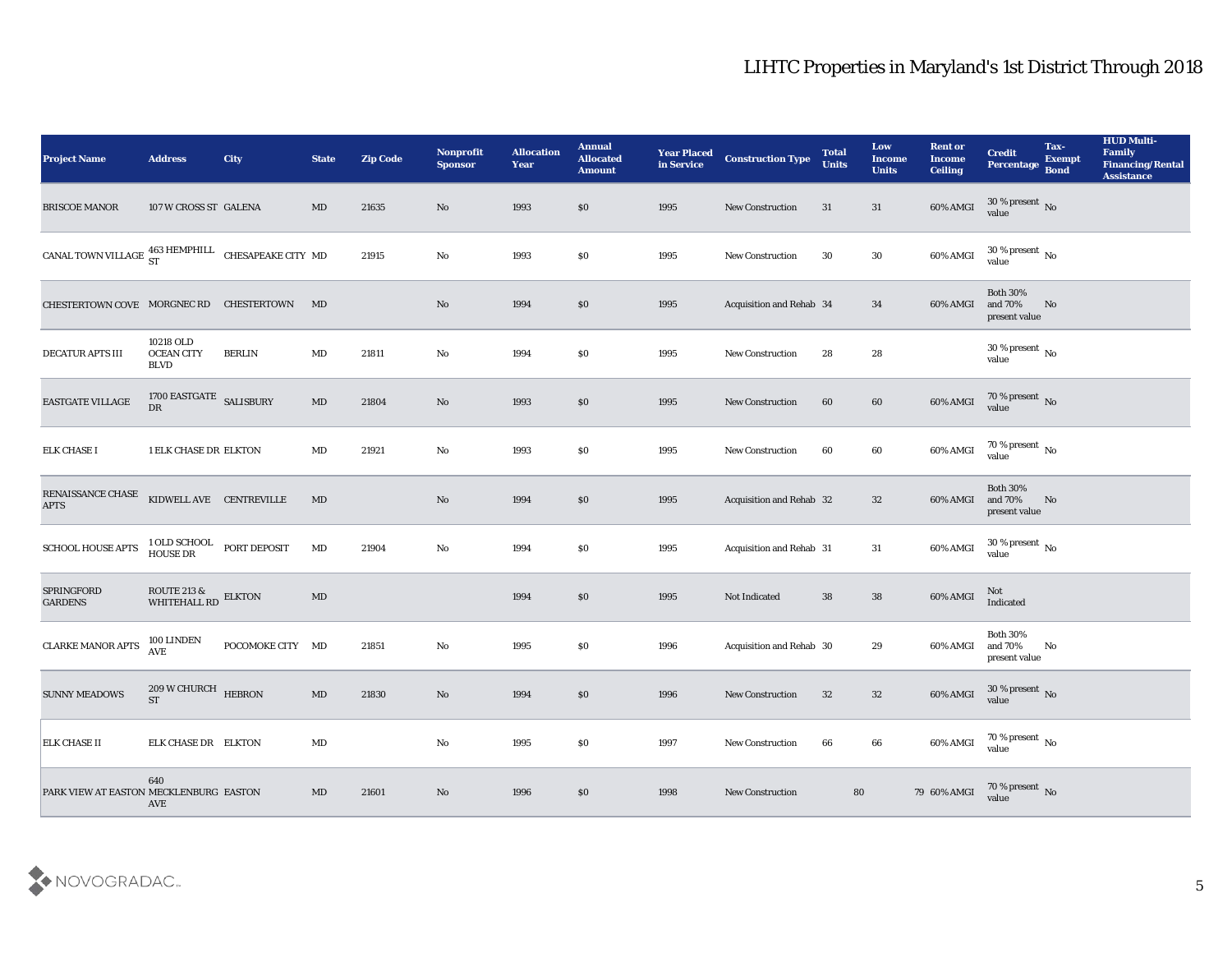| <b>Project Name</b>                                          | <b>Address</b>                                | <b>City</b>      | <b>State</b>           | <b>Zip Code</b> | <b>Nonprofit</b><br><b>Sponsor</b> | <b>Allocation</b><br><b>Year</b> | <b>Annual</b><br><b>Allocated</b><br><b>Amount</b> | <b>Year Placed</b><br>in Service | <b>Construction Type</b> | <b>Total</b><br><b>Units</b> | Low<br><b>Income</b><br><b>Units</b> | <b>Rent or</b><br><b>Income</b><br><b>Ceiling</b> | <b>Credit</b><br><b>Percentage</b>          | Tax-<br><b>Exempt</b><br><b>Bond</b> | <b>HUD Multi-</b><br>Family<br><b>Financing/Rental</b><br><b>Assistance</b> |
|--------------------------------------------------------------|-----------------------------------------------|------------------|------------------------|-----------------|------------------------------------|----------------------------------|----------------------------------------------------|----------------------------------|--------------------------|------------------------------|--------------------------------------|---------------------------------------------------|---------------------------------------------|--------------------------------------|-----------------------------------------------------------------------------|
| <b>BRISCOE MANOR</b>                                         | 107 W CROSS ST GALENA                         |                  | MD                     | 21635           | No                                 | 1993                             | \$0                                                | 1995                             | <b>New Construction</b>  | 31                           | 31                                   | 60% AMGI                                          | $30\%$ present No<br>value                  |                                      |                                                                             |
| CANAL TOWN VILLAGE $^{463}_{ST}$ HEMPHILL CHESAPEAKE CITY MD |                                               |                  |                        | 21915           | No                                 | 1993                             | \$0                                                | 1995                             | <b>New Construction</b>  | 30                           | 30                                   | 60% AMGI                                          | $30\,\%$ present $\,$ No value              |                                      |                                                                             |
| CHESTERTOWN COVE MORGNEC RD CHESTERTOWN                      |                                               |                  | MD                     |                 | No                                 | 1994                             | \$0                                                | 1995                             | Acquisition and Rehab 34 |                              | 34                                   | 60% AMGI                                          | <b>Both 30%</b><br>and 70%<br>present value | No                                   |                                                                             |
| DECATUR APTS III                                             | 10218 OLD<br><b>OCEAN CITY</b><br><b>BLVD</b> | <b>BERLIN</b>    | $\rm MD$               | 21811           | $\mathbf {No}$                     | 1994                             | \$0                                                | 1995                             | <b>New Construction</b>  | 28                           | 28                                   |                                                   | $30\,\%$ present $\,$ No value              |                                      |                                                                             |
| EASTGATE VILLAGE                                             | 1700 EASTGATE SALISBURY<br>DR                 |                  | MD                     | 21804           | No                                 | 1993                             | \$0                                                | 1995                             | <b>New Construction</b>  | 60                           | 60                                   | 60% AMGI                                          | $70\,\%$ present $\,$ No value              |                                      |                                                                             |
| <b>ELK CHASE I</b>                                           | 1 ELK CHASE DR ELKTON                         |                  | MD                     | 21921           | No                                 | 1993                             | \$0                                                | 1995                             | <b>New Construction</b>  | 60                           | 60                                   | 60% AMGI                                          | $70\,\%$ present $\,$ No value              |                                      |                                                                             |
| RENAISSANCE CHASE<br><b>APTS</b>                             | KIDWELL AVE CENTREVILLE                       |                  | $\rm MD$               |                 | No                                 | 1994                             | $\$0$                                              | 1995                             | Acquisition and Rehab 32 |                              | 32                                   | 60% AMGI                                          | <b>Both 30%</b><br>and 70%<br>present value | No                                   |                                                                             |
| <b>SCHOOL HOUSE APTS</b>                                     | 1 OLD SCHOOL<br><b>HOUSE DR</b>               | PORT DEPOSIT     | MD                     | 21904           | No                                 | 1994                             | \$0                                                | 1995                             | Acquisition and Rehab 31 |                              | 31                                   | 60% AMGI                                          | $30\,\%$ present $\,$ No $\,$<br>value      |                                      |                                                                             |
| <b>SPRINGFORD</b><br><b>GARDENS</b>                          | ROUTE 213 &<br>WHITEHALL RD                   | <b>ELKTON</b>    | $\rm MD$               |                 |                                    | 1994                             | \$0                                                | 1995                             | Not Indicated            | 38                           | 38                                   | 60% AMGI                                          | Not<br>Indicated                            |                                      |                                                                             |
| <b>CLARKE MANOR APTS</b>                                     | 100 LINDEN<br><b>AVE</b>                      | POCOMOKE CITY MD |                        | 21851           | $\mathbf{N}\mathbf{o}$             | 1995                             | \$0                                                | 1996                             | Acquisition and Rehab 30 |                              | 29                                   | 60% AMGI                                          | <b>Both 30%</b><br>and 70%<br>present value | No                                   |                                                                             |
| <b>SUNNY MEADOWS</b>                                         | 209 W CHURCH HEBRON<br><b>ST</b>              |                  | $\rm MD$               | 21830           | No                                 | 1994                             | \$0                                                | 1996                             | <b>New Construction</b>  | 32                           | 32                                   | 60% AMGI                                          | 30 % present No<br>value                    |                                      |                                                                             |
| <b>ELK CHASE II</b>                                          | ELK CHASE DR ELKTON                           |                  | $\mathbf{M}\mathbf{D}$ |                 | $\rm\thinspace No$                 | 1995                             | \$0                                                | 1997                             | New Construction         | 66                           | 66                                   | 60% AMGI                                          | 70 % present $\,$ No $\,$<br>value          |                                      |                                                                             |
| PARK VIEW AT EASTON MECKLENBURG EASTON                       | 640<br>AVE                                    |                  | MD                     | 21601           | $\rm\thinspace No$                 | 1996                             | \$0                                                | 1998                             | New Construction         | 80                           |                                      | 79 60% AMGI                                       | 70 % present No<br>value                    |                                      |                                                                             |

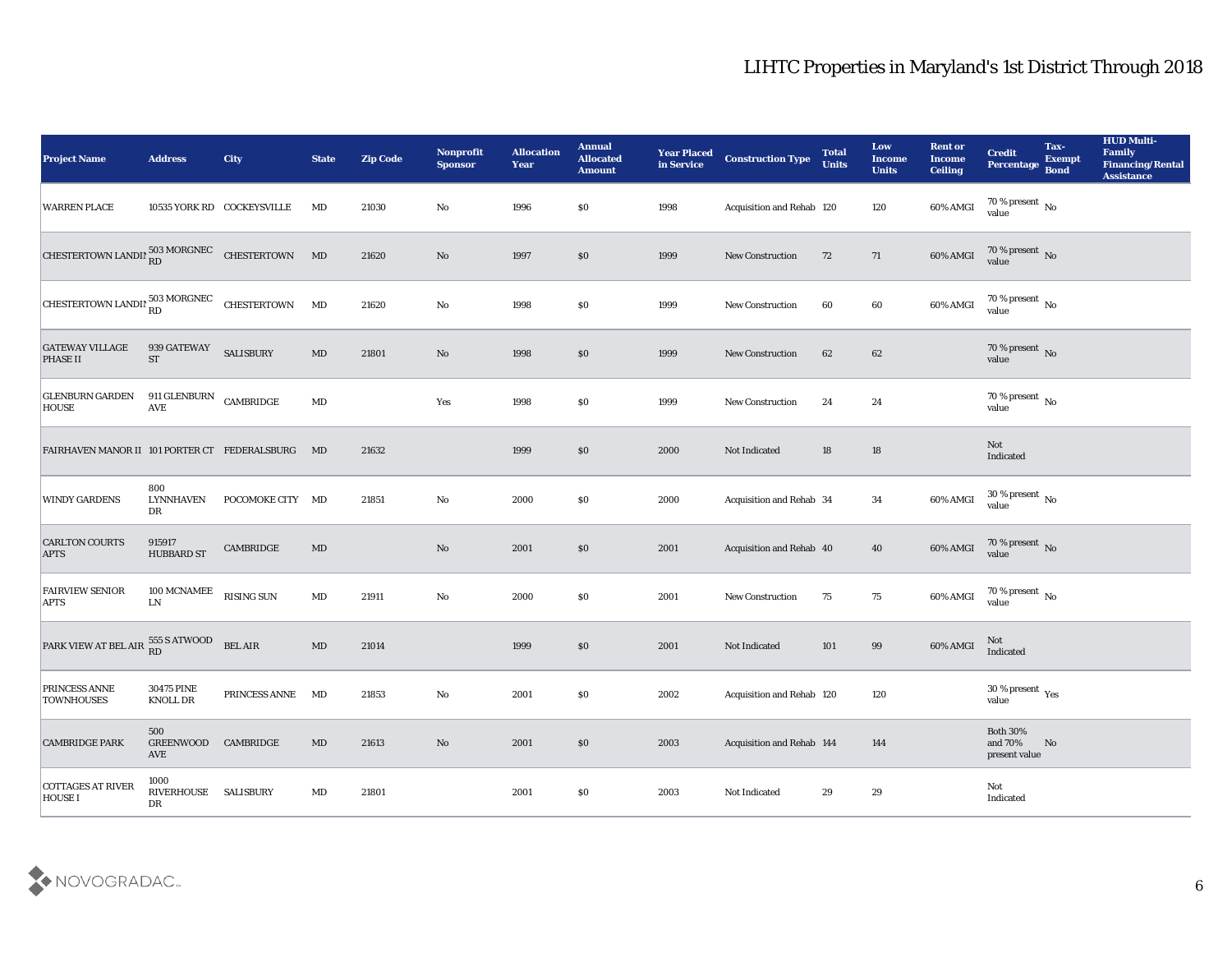| <b>Project Name</b>                                           | <b>Address</b>                                     | <b>City</b>                | <b>State</b>           | <b>Zip Code</b> | Nonprofit<br><b>Sponsor</b> | <b>Allocation</b><br><b>Year</b> | <b>Annual</b><br><b>Allocated</b><br><b>Amount</b> | <b>Year Placed</b><br>in Service | <b>Construction Type</b>  | <b>Total</b><br><b>Units</b> | Low<br><b>Income</b><br><b>Units</b> | <b>Rent or</b><br><b>Income</b><br><b>Ceiling</b> | <b>Credit</b><br><b>Percentage</b>             | Tax-<br><b>Exempt</b><br><b>Bond</b> | <b>HUD Multi-</b><br>Family<br><b>Financing/Rental</b><br><b>Assistance</b> |
|---------------------------------------------------------------|----------------------------------------------------|----------------------------|------------------------|-----------------|-----------------------------|----------------------------------|----------------------------------------------------|----------------------------------|---------------------------|------------------------------|--------------------------------------|---------------------------------------------------|------------------------------------------------|--------------------------------------|-----------------------------------------------------------------------------|
| <b>WARREN PLACE</b>                                           |                                                    | 10535 YORK RD COCKEYSVILLE | MD                     | 21030           | No                          | 1996                             | \$0                                                | 1998                             | Acquisition and Rehab 120 |                              | 120                                  | 60% AMGI                                          | $70\,\% \,present \over value$                 |                                      |                                                                             |
| CHESTERTOWN LANDIN RD 503 MORGNEC CHESTERTOWN MD              |                                                    |                            |                        | 21620           | No                          | 1997                             | \$0                                                | 1999                             | New Construction          | 72                           | 71                                   | 60% AMGI                                          | $70\,\%$ present $\,$ No value                 |                                      |                                                                             |
| CHESTERTOWN LANDIN $_{\rm RD}^{503\,\rm MORGNEC}$ CHESTERTOWN |                                                    |                            | MD                     | 21620           | $\mathbf{N}\mathbf{o}$      | 1998                             | \$0                                                | 1999                             | <b>New Construction</b>   | 60                           | 60                                   | 60% AMGI                                          | $70\,\%$ present $\,$ No value                 |                                      |                                                                             |
| <b>GATEWAY VILLAGE</b><br><b>PHASE II</b>                     | 939 GATEWAY<br><b>ST</b>                           | <b>SALISBURY</b>           | $\mathbf{M}\mathbf{D}$ | 21801           | No                          | 1998                             | \$0                                                | 1999                             | New Construction          | 62                           | 62                                   |                                                   | $70\,\%$ present $\,$ No value                 |                                      |                                                                             |
| <b>GLENBURN GARDEN</b><br>HOUSE                               | 911 GLENBURN CAMBRIDGE<br><b>AVE</b>               |                            | $\rm MD$               |                 | Yes                         | 1998                             | \$0                                                | 1999                             | <b>New Construction</b>   | 24                           | 24                                   |                                                   | $70\,\%$ present $\,$ No value                 |                                      |                                                                             |
| FAIRHAVEN MANOR II 101 PORTER CT FEDERALSBURG MD              |                                                    |                            |                        | 21632           |                             | 1999                             | \$0                                                | 2000                             | Not Indicated             | 18                           | 18                                   |                                                   | Not<br>Indicated                               |                                      |                                                                             |
| <b>WINDY GARDENS</b>                                          | 800<br><b>LYNNHAVEN</b><br>DR                      | POCOMOKE CITY MD           |                        | 21851           | No                          | 2000                             | \$0                                                | 2000                             | Acquisition and Rehab 34  |                              | 34                                   | 60% AMGI                                          | $30\,\%$ present $\,$ No value                 |                                      |                                                                             |
| <b>CARLTON COURTS</b><br><b>APTS</b>                          | 915917<br><b>HUBBARD ST</b>                        | CAMBRIDGE                  | MD                     |                 | $\mathbf{N}\mathbf{o}$      | 2001                             | \$0                                                | 2001                             | Acquisition and Rehab 40  |                              | 40                                   | 60% AMGI                                          | $70\,\%$ present $\,$ No value                 |                                      |                                                                             |
| <b>FAIRVIEW SENIOR</b><br><b>APTS</b>                         | 100 MCNAMEE<br>${\rm LN}$                          | <b>RISING SUN</b>          | $\mathbf{M}\mathbf{D}$ | 21911           | $\rm\thinspace No$          | 2000                             | \$0                                                | 2001                             | New Construction          | 75                           | 75                                   | 60% AMGI                                          | $70\,\%$ present $\,$ No value                 |                                      |                                                                             |
| PARK VIEW AT BEL AIR 555 S ATWOOD BEL AIR                     |                                                    |                            | $\mathbf{M}\mathbf{D}$ | 21014           |                             | 1999                             | \$0                                                | 2001                             | Not Indicated             | 101                          | 99                                   | 60% AMGI                                          | Not<br>Indicated                               |                                      |                                                                             |
| PRINCESS ANNE<br><b>TOWNHOUSES</b>                            | <b>30475 PINE</b><br>KNOLL DR                      | PRINCESS ANNE MD           |                        | 21853           | No                          | 2001                             | \$0                                                | 2002                             | Acquisition and Rehab 120 |                              | 120                                  |                                                   | 30 % present $_{\rm Yes}$<br>value             |                                      |                                                                             |
| <b>CAMBRIDGE PARK</b>                                         | 500<br>GREENWOOD CAMBRIDGE<br>$\operatorname{AVE}$ |                            | $\mathbf{M}\mathbf{D}$ | 21613           | $\rm\thinspace No$          | 2001                             | $\$0$                                              | 2003                             | Acquisition and Rehab 144 |                              | 144                                  |                                                   | <b>Both 30%</b><br>and $70\%$<br>present value | No                                   |                                                                             |
| <b>COTTAGES AT RIVER</b><br>HOUSE I                           | 1000<br>RIVERHOUSE SALISBURY<br>DR                 |                            | $\mathbf{M}\mathbf{D}$ | 21801           |                             | 2001                             | \$0                                                | 2003                             | Not Indicated             | 29                           | 29                                   |                                                   | Not<br>$\operatorname{Indicated}$              |                                      |                                                                             |

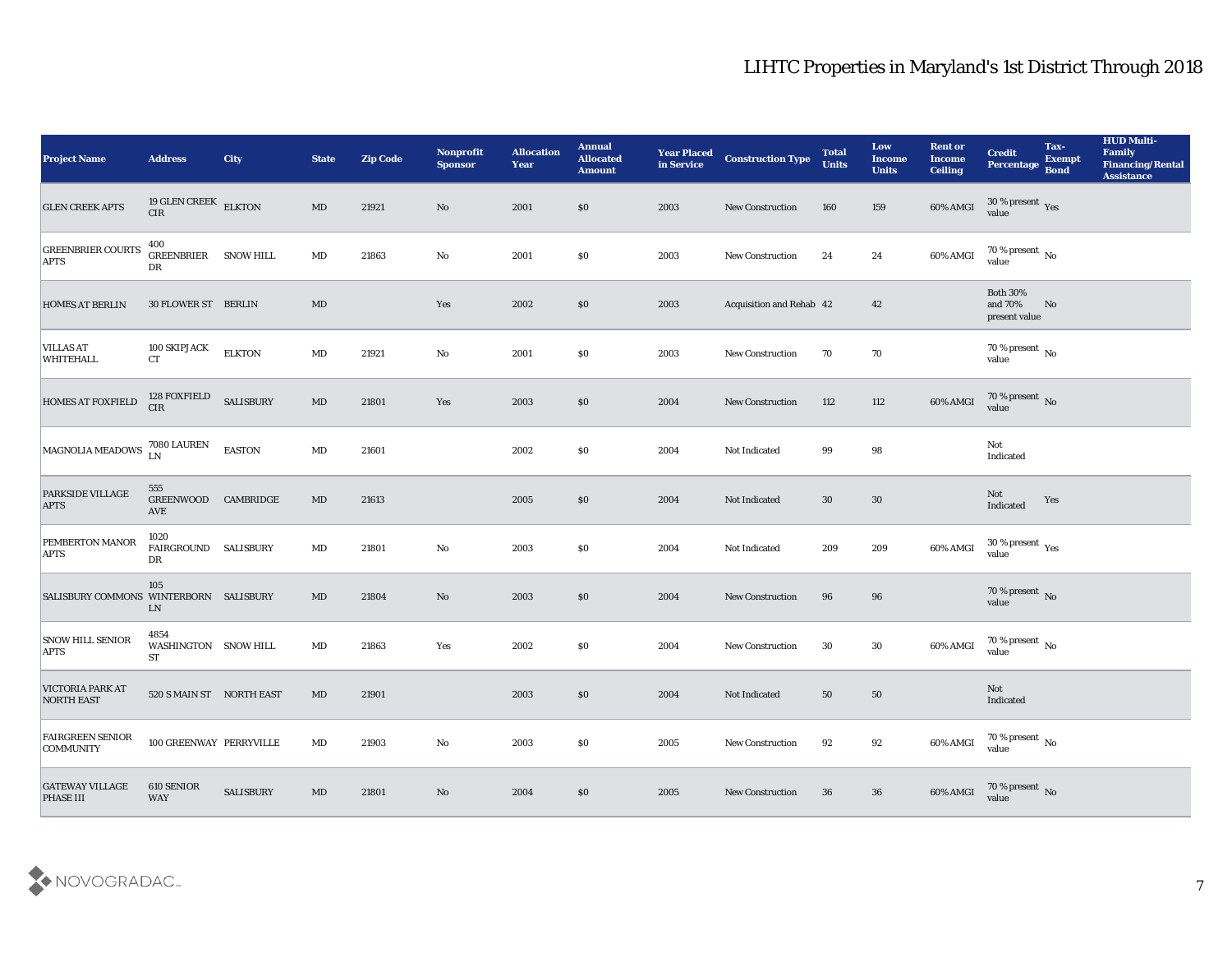| <b>Project Name</b>                                                                                                    | <b>Address</b>                            | <b>City</b>      | <b>State</b>           | <b>Zip Code</b> | <b>Nonprofit</b><br><b>Sponsor</b> | <b>Allocation</b><br><b>Year</b> | <b>Annual</b><br><b>Allocated</b><br><b>Amount</b> | <b>Year Placed</b><br>in Service | <b>Construction Type</b> | <b>Total</b><br><b>Units</b> | Low<br><b>Income</b><br><b>Units</b> | <b>Rent or</b><br><b>Income</b><br><b>Ceiling</b> | <b>Credit</b><br><b>Percentage</b>            | Tax-<br><b>Exempt</b><br><b>Bond</b> | <b>HUD Multi-</b><br>Family<br><b>Financing/Rental</b><br><b>Assistance</b> |
|------------------------------------------------------------------------------------------------------------------------|-------------------------------------------|------------------|------------------------|-----------------|------------------------------------|----------------------------------|----------------------------------------------------|----------------------------------|--------------------------|------------------------------|--------------------------------------|---------------------------------------------------|-----------------------------------------------|--------------------------------------|-----------------------------------------------------------------------------|
| <b>GLEN CREEK APTS</b>                                                                                                 | 19 GLEN CREEK ELKTON<br>CIR               |                  | MD                     | 21921           | No                                 | 2001                             | \$0                                                | 2003                             | <b>New Construction</b>  | 160                          | 159                                  | 60% AMGI                                          | $30\,\%$ present $\,$ Yes value               |                                      |                                                                             |
| <b>GREENBRIER COURTS</b><br><b>APTS</b>                                                                                | 400<br>GREENBRIER<br>DR                   | <b>SNOW HILL</b> | MD                     | 21863           | No                                 | 2001                             | \$0                                                | 2003                             | New Construction         | 24                           | 24                                   | 60% AMGI                                          | $70\,\%$ present $\,$ No value                |                                      |                                                                             |
| <b>HOMES AT BERLIN</b>                                                                                                 | 30 FLOWER ST BERLIN                       |                  | MD                     |                 | Yes                                | 2002                             | \$0                                                | 2003                             | Acquisition and Rehab 42 |                              | 42                                   |                                                   | <b>Both 30%</b><br>and 70%<br>present value   | No                                   |                                                                             |
| <b>VILLAS AT</b><br><b>WHITEHALL</b>                                                                                   | 100 SKIPJACK<br><b>CT</b>                 | <b>ELKTON</b>    | $\mathbf{M}\mathbf{D}$ | 21921           | $\mathbf{No}$                      | 2001                             | \$0                                                | 2003                             | New Construction         | 70                           | 70                                   |                                                   | $70\,\%$ present $\,$ No value                |                                      |                                                                             |
| <b>HOMES AT FOXFIELD</b>                                                                                               | 128 FOXFIELD<br><b>CIR</b>                | <b>SALISBURY</b> | MD                     | 21801           | Yes                                | 2003                             | \$0                                                | 2004                             | <b>New Construction</b>  | 112                          | 112                                  | 60% AMGI                                          | $70\,\%$ present $\,$ No value                |                                      |                                                                             |
| $\begin{array}{ l } \hbox{MAGNOLIA MEADOWS} \begin{array}{ll} \hbox{7080 LAUREN} \\ \hbox{LN} \end{array} \end{array}$ |                                           | <b>EASTON</b>    | MD                     | 21601           |                                    | 2002                             | \$0                                                | 2004                             | Not Indicated            | 99                           | 98                                   |                                                   | Not<br>Indicated                              |                                      |                                                                             |
| PARKSIDE VILLAGE<br><b>APTS</b>                                                                                        | 555<br>GREENWOOD CAMBRIDGE<br><b>AVE</b>  |                  | $\mathbf{M}\mathbf{D}$ | 21613           |                                    | 2005                             | \$0                                                | 2004                             | Not Indicated            | 30                           | 30                                   |                                                   | Not<br>Indicated                              | Yes                                  |                                                                             |
| PEMBERTON MANOR<br><b>APTS</b>                                                                                         | 1020<br>FAIRGROUND<br>DR                  | <b>SALISBURY</b> | $\mathbf{M}\mathbf{D}$ | 21801           | $\mathbf {No}$                     | 2003                             | \$0                                                | 2004                             | Not Indicated            | 209                          | 209                                  | 60% AMGI                                          | 30 % present $\,\rm \gamma_{\rm es}$<br>value |                                      |                                                                             |
| SALISBURY COMMONS WINTERBORN SALISBURY                                                                                 | 105<br>LN                                 |                  | MD                     | 21804           | No                                 | 2003                             | \$0                                                | 2004                             | <b>New Construction</b>  | 96                           | 96                                   |                                                   | $70\,\%$ present $\,$ No value                |                                      |                                                                             |
| <b>SNOW HILL SENIOR</b><br><b>APTS</b>                                                                                 | 4854<br>WASHINGTON SNOW HILL<br><b>ST</b> |                  | $\mathbf{M}\mathbf{D}$ | 21863           | Yes                                | 2002                             | \$0                                                | 2004                             | <b>New Construction</b>  | 30                           | 30                                   | 60% AMGI                                          | $70\,\%$ present $\,$ No value                |                                      |                                                                             |
| VICTORIA PARK AT<br><b>NORTH EAST</b>                                                                                  | 520 S MAIN ST NORTH EAST                  |                  | MD                     | 21901           |                                    | 2003                             | \$0\$                                              | 2004                             | Not Indicated            | 50                           | 50                                   |                                                   | Not<br>Indicated                              |                                      |                                                                             |
| <b>FAIRGREEN SENIOR</b><br><b>COMMUNITY</b>                                                                            | 100 GREENWAY PERRYVILLE                   |                  | $\mathbf{M}\mathbf{D}$ | 21903           | $\mathbf{No}$                      | 2003                             | \$0                                                | 2005                             | New Construction         | 92                           | 92                                   | 60% AMGI                                          | $70\,\%$ present $\,$ No value                |                                      |                                                                             |
| <b>GATEWAY VILLAGE</b><br><b>PHASE III</b>                                                                             | 610 SENIOR<br>WAY                         | SALISBURY        | $\mathbf{M}\mathbf{D}$ | 21801           | $\rm\thinspace No$                 | 2004                             | \$0                                                | 2005                             | New Construction         | 36                           | 36                                   | 60% AMGI                                          | $70\,\%$ present $\,$ No value                |                                      |                                                                             |

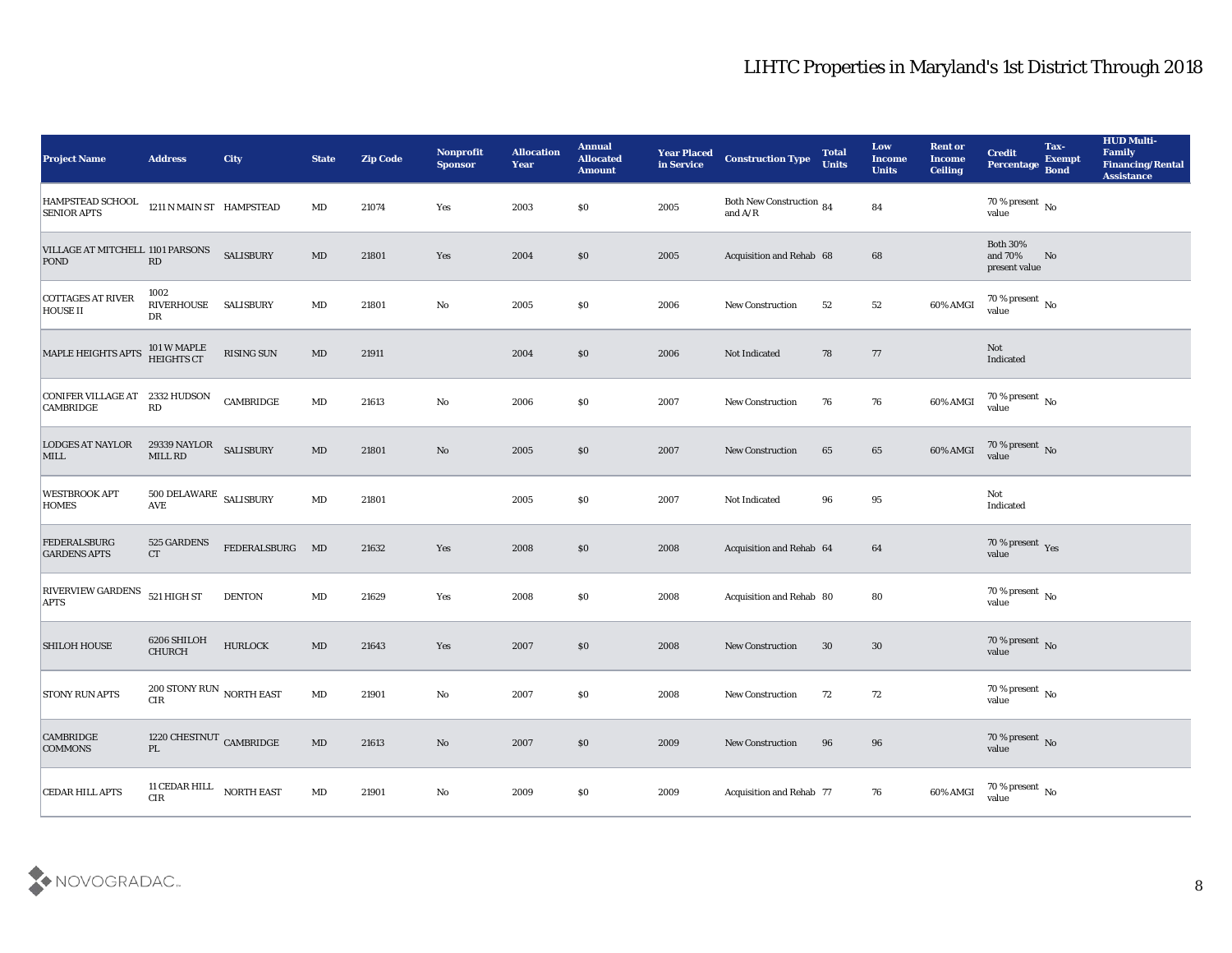| <b>Project Name</b>                             | <b>Address</b>                                | <b>City</b>       | <b>State</b>           | <b>Zip Code</b> | Nonprofit<br><b>Sponsor</b> | <b>Allocation</b><br><b>Year</b> | <b>Annual</b><br><b>Allocated</b><br><b>Amount</b> | <b>Year Placed</b><br>in Service | <b>Construction Type</b>                                                          | <b>Total</b><br><b>Units</b> | Low<br><b>Income</b><br><b>Units</b> | <b>Rent or</b><br><b>Income</b><br><b>Ceiling</b> | <b>Credit</b><br>Percentage                 | Tax-<br><b>Exempt</b><br><b>Bond</b> | <b>HUD Multi-</b><br>Family<br><b>Financing/Rental</b><br><b>Assistance</b> |
|-------------------------------------------------|-----------------------------------------------|-------------------|------------------------|-----------------|-----------------------------|----------------------------------|----------------------------------------------------|----------------------------------|-----------------------------------------------------------------------------------|------------------------------|--------------------------------------|---------------------------------------------------|---------------------------------------------|--------------------------------------|-----------------------------------------------------------------------------|
| <b>HAMPSTEAD SCHOOL</b><br><b>SENIOR APTS</b>   | 1211 N MAIN ST HAMPSTEAD                      |                   | $\mathbf{M}\mathbf{D}$ | 21074           | Yes                         | 2003                             | $\$0$                                              | 2005                             | Both New Construction 84<br>and $\ensuremath{\mathrm{A}}/\ensuremath{\mathrm{R}}$ |                              | 84                                   |                                                   | 70 % present No<br>value                    |                                      |                                                                             |
| VILLAGE AT MITCHELL 1101 PARSONS<br><b>POND</b> | $\mathbf{R}\mathbf{D}$                        | <b>SALISBURY</b>  | MD                     | 21801           | Yes                         | 2004                             | \$0                                                | 2005                             | Acquisition and Rehab 68                                                          |                              | 68                                   |                                                   | <b>Both 30%</b><br>and 70%<br>present value | No                                   |                                                                             |
| <b>COTTAGES AT RIVER</b><br><b>HOUSE II</b>     | 1002<br>RIVERHOUSE<br>DR                      | <b>SALISBURY</b>  | $\mathbf{M}\mathbf{D}$ | 21801           | $\mathbf{No}$               | 2005                             | \$0                                                | 2006                             | New Construction                                                                  | 52                           | 52                                   | 60% AMGI                                          | 70 % present No<br>value                    |                                      |                                                                             |
| MAPLE HEIGHTS APTS                              | 101 W MAPLE<br>HEIGHTS CT                     | RISING SUN        | $\mathbf{M}\mathbf{D}$ | 21911           |                             | 2004                             | \$0                                                | 2006                             | Not Indicated                                                                     | 78                           | 77                                   |                                                   | Not<br>Indicated                            |                                      |                                                                             |
| CONIFER VILLAGE AT<br><b>CAMBRIDGE</b>          | 2332 HUDSON<br>$\mathbf{R}\mathbf{D}$         | CAMBRIDGE         | MD                     | 21613           | $\mathbf{No}$               | 2006                             | \$0                                                | 2007                             | <b>New Construction</b>                                                           | 76                           | 76                                   | 60% AMGI                                          | $70\,\% \,present \over value$              |                                      |                                                                             |
| <b>LODGES AT NAYLOR</b><br>MILL                 | 29339 NAYLOR SALISBURY<br>MILL RD             |                   | MD                     | 21801           | No                          | 2005                             | $\$0$                                              | 2007                             | <b>New Construction</b>                                                           | 65                           | 65                                   | 60% AMGI                                          | $70\,\%$ present $\,$ No value              |                                      |                                                                             |
| <b>WESTBROOK APT</b><br><b>HOMES</b>            | $500$ DELAWARE $\,$ SALISBURY<br><b>AVE</b>   |                   | $\mathbf{M}\mathbf{D}$ | 21801           |                             | 2005                             | \$0                                                | 2007                             | Not Indicated                                                                     | 96                           | 95                                   |                                                   | Not<br>Indicated                            |                                      |                                                                             |
| <b>FEDERALSBURG</b><br><b>GARDENS APTS</b>      | 525 GARDENS<br><b>CT</b>                      | FEDERALSBURG MD   |                        | 21632           | Yes                         | 2008                             | $\$0$                                              | 2008                             | Acquisition and Rehab 64                                                          |                              | 64                                   |                                                   | 70 % present Yes<br>value                   |                                      |                                                                             |
| <b>RIVERVIEW GARDENS</b><br><b>APTS</b>         | 521 HIGH ST                                   | <b>DENTON</b>     | $\mathbf{M}\mathbf{D}$ | 21629           | Yes                         | 2008                             | \$0                                                | 2008                             | Acquisition and Rehab 80                                                          |                              | 80                                   |                                                   | $70\,\%$ present $\,$ No value              |                                      |                                                                             |
| <b>SHILOH HOUSE</b>                             | 6206 SHILOH<br>CHURCH                         | <b>HURLOCK</b>    | $\mathbf{M}\mathbf{D}$ | 21643           | Yes                         | 2007                             | \$0                                                | 2008                             | <b>New Construction</b>                                                           | 30                           | $30\,$                               |                                                   | $70\,\%$ present $\,$ No value              |                                      |                                                                             |
| <b>STONY RUN APTS</b>                           | 200 STONY RUN $\,$ NORTH EAST<br>$\rm CIR$    |                   | MD                     | 21901           | No                          | 2007                             | $\$0$                                              | 2008                             | <b>New Construction</b>                                                           | 72                           | 72                                   |                                                   | 70 % present No<br>value                    |                                      |                                                                             |
| <b>CAMBRIDGE</b><br><b>COMMONS</b>              | 1220 CHESTNUT $\,$ CAMBRIDGE<br>$\mathbf{PL}$ |                   | $\mathbf{M}\mathbf{D}$ | 21613           | $\mathbf {No}$              | 2007                             | \$0                                                | 2009                             | New Construction                                                                  | 96                           | $96\,$                               |                                                   | 70 % present No<br>value                    |                                      |                                                                             |
| CEDAR HILL APTS                                 | 11 CEDAR HILL<br>${\rm CIR}$                  | <b>NORTH EAST</b> | $\mathbf{M}\mathbf{D}$ | 21901           | ${\bf No}$                  | 2009                             | $\$0$                                              | 2009                             | Acquisition and Rehab 77                                                          |                              | 76                                   | 60% AMGI                                          | 70 % present No<br>value                    |                                      |                                                                             |

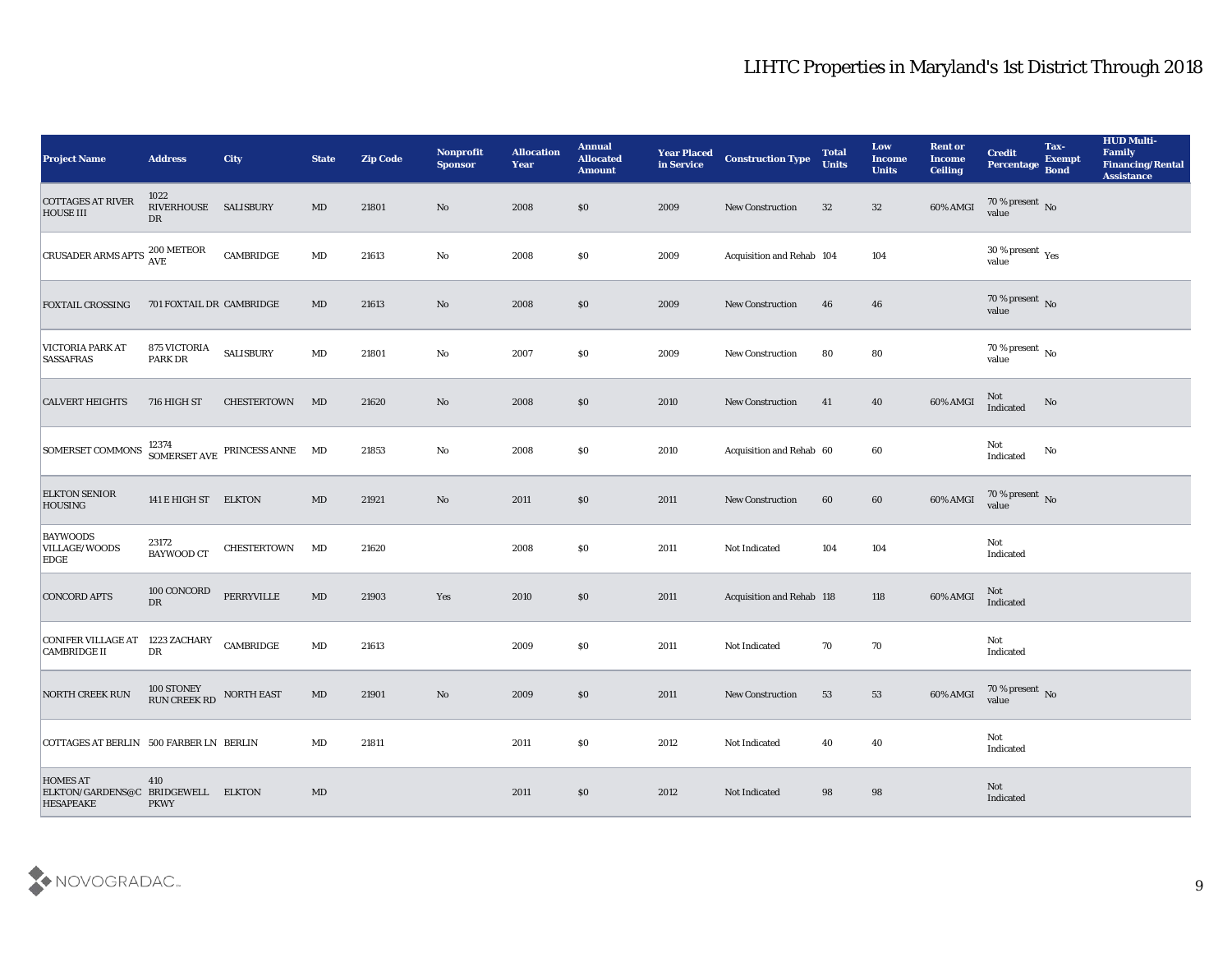| <b>Project Name</b>                                                       | <b>Address</b>                     | <b>City</b>                            | <b>State</b>           | <b>Zip Code</b> | Nonprofit<br><b>Sponsor</b> | <b>Allocation</b><br><b>Year</b> | <b>Annual</b><br><b>Allocated</b><br><b>Amount</b> | <b>Year Placed</b><br>in Service | <b>Construction Type</b>  | <b>Total</b><br><b>Units</b> | Low<br><b>Income</b><br><b>Units</b> | <b>Rent or</b><br><b>Income</b><br><b>Ceiling</b> | <b>Credit</b><br>Percentage        | Tax-<br><b>Exempt</b><br><b>Bond</b> | <b>HUD Multi-</b><br>Family<br><b>Financing/Rental</b><br><b>Assistance</b> |
|---------------------------------------------------------------------------|------------------------------------|----------------------------------------|------------------------|-----------------|-----------------------------|----------------------------------|----------------------------------------------------|----------------------------------|---------------------------|------------------------------|--------------------------------------|---------------------------------------------------|------------------------------------|--------------------------------------|-----------------------------------------------------------------------------|
| <b>COTTAGES AT RIVER</b><br><b>HOUSE III</b>                              | 1022<br>RIVERHOUSE SALISBURY<br>DR |                                        | $\mathbf{M}\mathbf{D}$ | 21801           | No                          | 2008                             | \$0                                                | 2009                             | <b>New Construction</b>   | 32                           | 32                                   | 60% AMGI                                          | 70 % present No<br>value           |                                      |                                                                             |
| <b>CRUSADER ARMS APTS</b>                                                 | 200 METEOR<br><b>AVE</b>           | CAMBRIDGE                              | $\mathbf{M}\mathbf{D}$ | 21613           | No                          | 2008                             | $\$0$                                              | 2009                             | Acquisition and Rehab 104 |                              | 104                                  |                                                   | 30 % present $_{\rm Yes}$<br>value |                                      |                                                                             |
| <b>FOXTAIL CROSSING</b>                                                   | 701 FOXTAIL DR CAMBRIDGE           |                                        | MD                     | 21613           | No                          | 2008                             | \$0                                                | 2009                             | New Construction          | 46                           | 46                                   |                                                   | $70\,\%$ present $\,$ No value     |                                      |                                                                             |
| <b>VICTORIA PARK AT</b><br><b>SASSAFRAS</b>                               | 875 VICTORIA<br>PARK DR            | <b>SALISBURY</b>                       | $\mathbf{M}\mathbf{D}$ | 21801           | No                          | 2007                             | \$0                                                | 2009                             | New Construction          | 80                           | 80                                   |                                                   | $70\,\%$ present $\,$ No value     |                                      |                                                                             |
| <b>CALVERT HEIGHTS</b>                                                    | 716 HIGH ST                        | CHESTERTOWN                            | MD                     | 21620           | No                          | 2008                             | \$0                                                | 2010                             | <b>New Construction</b>   | 41                           | 40                                   | 60% AMGI                                          | Not<br>Indicated                   | No                                   |                                                                             |
| <b>SOMERSET COMMONS</b>                                                   |                                    | 12374<br>SOMERSET AVE PRINCESS ANNE MD |                        | 21853           | No                          | 2008                             | \$0                                                | 2010                             | Acquisition and Rehab 60  |                              | 60                                   |                                                   | Not<br>Indicated                   | No                                   |                                                                             |
| <b>ELKTON SENIOR</b><br><b>HOUSING</b>                                    | 141 E HIGH ST ELKTON               |                                        | $\mathbf{M}\mathbf{D}$ | 21921           | No                          | 2011                             | $\$0$                                              | 2011                             | <b>New Construction</b>   | 60                           | 60                                   | 60% AMGI                                          | $70\,\%$ present $\,$ No value     |                                      |                                                                             |
| <b>BAYWOODS</b><br>VILLAGE/WOODS<br><b>EDGE</b>                           | 23172<br><b>BAYWOOD CT</b>         | <b>CHESTERTOWN</b>                     | MD                     | 21620           |                             | 2008                             | \$0                                                | 2011                             | Not Indicated             | 104                          | 104                                  |                                                   | Not<br>Indicated                   |                                      |                                                                             |
| <b>CONCORD APTS</b>                                                       | 100 CONCORD<br>DR                  | PERRYVILLE                             | $\mathbf{M}\mathbf{D}$ | 21903           | Yes                         | 2010                             | \$0\$                                              | 2011                             | Acquisition and Rehab 118 |                              | 118                                  | 60% AMGI                                          | Not<br>Indicated                   |                                      |                                                                             |
| CONIFER VILLAGE AT 1223 ZACHARY<br><b>CAMBRIDGE II</b>                    | ${\rm D}{\rm R}$                   | CAMBRIDGE                              | $\mathbf{M}\mathbf{D}$ | 21613           |                             | 2009                             | \$0                                                | 2011                             | Not Indicated             | 70                           | 70                                   |                                                   | Not<br>Indicated                   |                                      |                                                                             |
| <b>NORTH CREEK RUN</b>                                                    | RUN CREEK RD NORTH EAST            |                                        | MD                     | 21901           | No                          | 2009                             | \$0                                                | 2011                             | <b>New Construction</b>   | 53                           | 53                                   | 60% AMGI                                          | 70 % present No<br>value           |                                      |                                                                             |
| COTTAGES AT BERLIN 500 FARBER LN BERLIN                                   |                                    |                                        | $\mathbf{M}\mathbf{D}$ | 21811           |                             | 2011                             | $\$0$                                              | 2012                             | Not Indicated             | 40                           | 40                                   |                                                   | Not<br>Indicated                   |                                      |                                                                             |
| <b>HOMES AT</b><br>ELKTON/GARDENS@C BRIDGEWELL ELKTON<br><b>HESAPEAKE</b> | 410<br><b>PKWY</b>                 |                                        | $\mathbf{M}\mathbf{D}$ |                 |                             | 2011                             | $\$0$                                              | 2012                             | Not Indicated             | 98                           | 98                                   |                                                   | Not<br>Indicated                   |                                      |                                                                             |

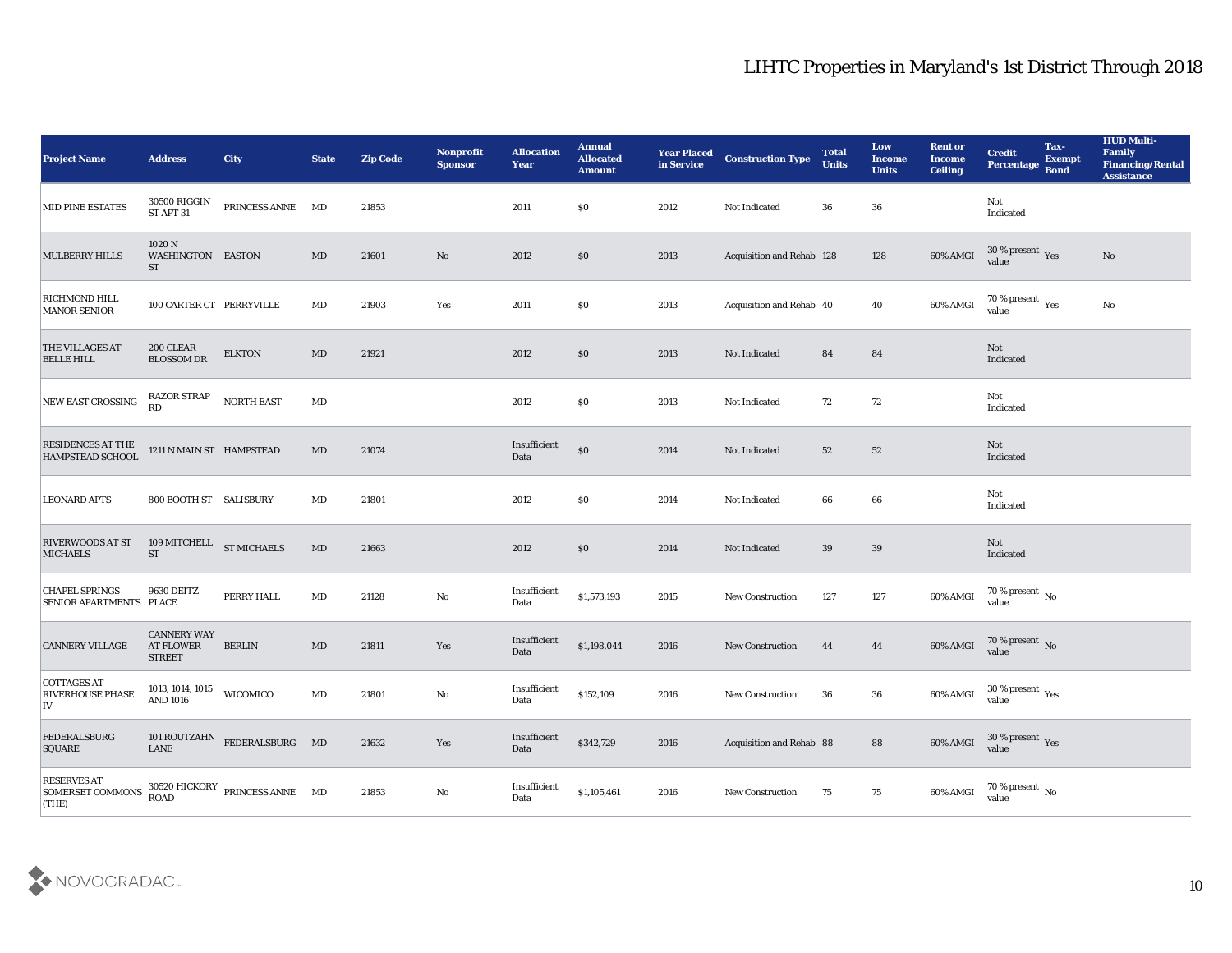| <b>Project Name</b>                                     | <b>Address</b>                                          | City                                                          | <b>State</b>           | <b>Zip Code</b> | Nonprofit<br><b>Sponsor</b> | <b>Allocation</b><br><b>Year</b> | <b>Annual</b><br><b>Allocated</b><br><b>Amount</b> | <b>Year Placed<br/>in Service</b> | <b>Construction Type</b>  | <b>Total</b><br><b>Units</b> | Low<br><b>Income</b><br><b>Units</b> | <b>Rent or</b><br><b>Income</b><br><b>Ceiling</b> | <b>Credit</b><br>Percentage                          | Tax-<br><b>Exempt</b><br><b>Bond</b> | <b>HUD Multi-</b><br>Family<br><b>Financing/Rental</b><br><b>Assistance</b> |
|---------------------------------------------------------|---------------------------------------------------------|---------------------------------------------------------------|------------------------|-----------------|-----------------------------|----------------------------------|----------------------------------------------------|-----------------------------------|---------------------------|------------------------------|--------------------------------------|---------------------------------------------------|------------------------------------------------------|--------------------------------------|-----------------------------------------------------------------------------|
| <b>MID PINE ESTATES</b>                                 | 30500 RIGGIN<br>ST APT 31                               | PRINCESS ANNE MD                                              |                        | 21853           |                             | 2011                             | $\$0$                                              | 2012                              | Not Indicated             | 36                           | 36                                   |                                                   | Not<br>Indicated                                     |                                      |                                                                             |
| <b>MULBERRY HILLS</b>                                   | 1020 N<br>WASHINGTON EASTON<br>ST                       |                                                               | MD                     | 21601           | $\rm No$                    | 2012                             | \$0                                                | 2013                              | Acquisition and Rehab 128 |                              | 128                                  | $60\%$ AMGI                                       | $30\,\%$ present $\,\mathrm{Yes}$ value              |                                      | No                                                                          |
| <b>RICHMOND HILL</b><br><b>MANOR SENIOR</b>             | 100 CARTER CT PERRYVILLE                                |                                                               | MD                     | 21903           | Yes                         | 2011                             | \$0                                                | 2013                              | Acquisition and Rehab 40  |                              | 40                                   | 60% AMGI                                          | $70\,\%$ present $\,$ Yes value                      |                                      | No                                                                          |
| THE VILLAGES AT<br><b>BELLE HILL</b>                    | 200 CLEAR<br><b>BLOSSOM DR</b>                          | <b>ELKTON</b>                                                 | $\mathbf{M}\mathbf{D}$ | 21921           |                             | 2012                             | $\$0$                                              | 2013                              | Not Indicated             | 84                           | 84                                   |                                                   | Not<br>Indicated                                     |                                      |                                                                             |
| NEW EAST CROSSING                                       | RAZOR STRAP<br>RD                                       | <b>NORTH EAST</b>                                             | MD                     |                 |                             | 2012                             | \$0                                                | 2013                              | Not Indicated             | 72                           | 72                                   |                                                   | Not<br>Indicated                                     |                                      |                                                                             |
| RESIDENCES AT THE<br>HAMPSTEAD SCHOOL                   | 1211 N MAIN ST HAMPSTEAD                                |                                                               | $\mathbf{M}\mathbf{D}$ | 21074           |                             | Insufficient<br>Data             | $\$0$                                              | 2014                              | Not Indicated             | 52                           | 52                                   |                                                   | Not<br>Indicated                                     |                                      |                                                                             |
| <b>LEONARD APTS</b>                                     | 800 BOOTH ST SALISBURY                                  |                                                               | MD                     | 21801           |                             | 2012                             | \$0                                                | 2014                              | Not Indicated             | 66                           | 66                                   |                                                   | Not<br>Indicated                                     |                                      |                                                                             |
| <b>RIVERWOODS AT ST</b><br><b>MICHAELS</b>              | 109 MITCHELL ST MICHAELS<br><b>ST</b>                   |                                                               | $\mathbf{M}\mathbf{D}$ | 21663           |                             | 2012                             | \$0                                                | 2014                              | Not Indicated             | 39                           | 39                                   |                                                   | Not<br>Indicated                                     |                                      |                                                                             |
| <b>CHAPEL SPRINGS</b><br><b>SENIOR APARTMENTS PLACE</b> | <b>9630 DEITZ</b>                                       | PERRY HALL                                                    | $\mathbf{M}\mathbf{D}$ | 21128           | No                          | Insufficient<br>Data             | \$1,573,193                                        | 2015                              | <b>New Construction</b>   | 127                          | 127                                  | 60% AMGI                                          | $70\,\%$ present $\,$ No value                       |                                      |                                                                             |
| <b>CANNERY VILLAGE</b>                                  | <b>CANNERY WAY</b><br><b>AT FLOWER</b><br><b>STREET</b> | <b>BERLIN</b>                                                 | MD                     | 21811           | Yes                         | Insufficient<br>Data             | \$1,198,044                                        | 2016                              | <b>New Construction</b>   | 44                           | 44                                   | 60% AMGI                                          | $70\,\%$ present $\,$ No value                       |                                      |                                                                             |
| <b>COTTAGES AT</b><br><b>RIVERHOUSE PHASE</b><br>IV     | 1013, 1014, 1015<br><b>AND 1016</b>                     | WICOMICO                                                      | MD                     | 21801           | No                          | Insufficient<br>Data             | \$152,109                                          | 2016                              | <b>New Construction</b>   | 36                           | 36                                   | 60% AMGI                                          | 30 % present $\rm\thinspace\gamma_{\rm es}$<br>value |                                      |                                                                             |
| <b>FEDERALSBURG</b><br>SQUARE                           | LANE                                                    | 101 ROUTZAHN FEDERALSBURG MD                                  |                        | 21632           | Yes                         | Insufficient<br>Data             | \$342,729                                          | 2016                              | Acquisition and Rehab 88  |                              | 88                                   | 60% AMGI                                          | $30\,\%$ present $\,$ Yes value                      |                                      |                                                                             |
| <b>RESERVES AT</b><br>SOMERSET COMMONS<br>$ $ (THE)     |                                                         | $30520\ \mathrm{HICKORY} \quad$ PRINCESS ANNE $\quad$ MD ROAD |                        | 21853           | $\mathbf {No}$              | Insufficient<br>$\mathbf{Data}$  | \$1,105,461                                        | 2016                              | New Construction          | 75                           | 75                                   | 60% AMGI                                          | 70 % present $\,$ No $\,$<br>value                   |                                      |                                                                             |

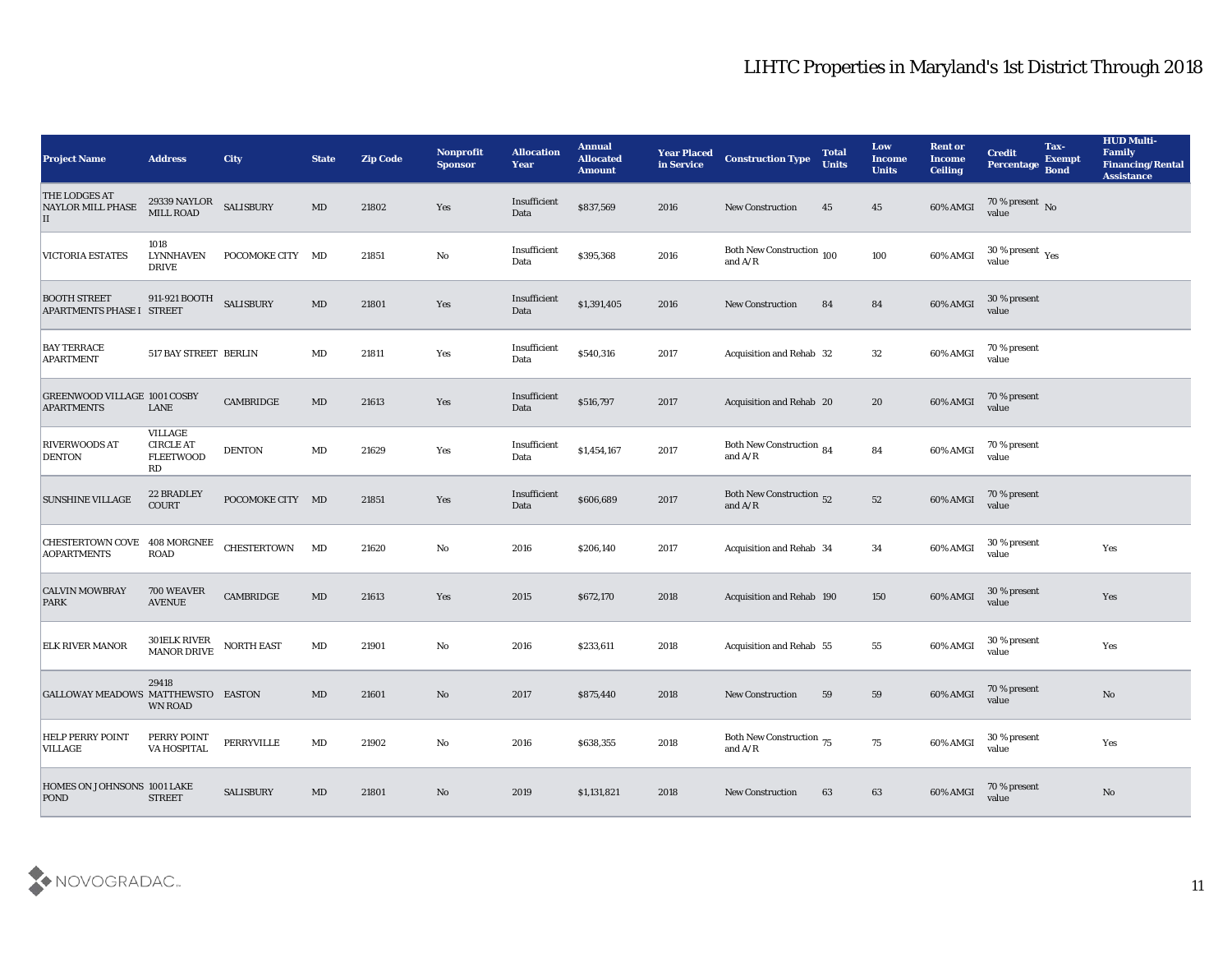| <b>Project Name</b>                                      | <b>Address</b>                                        | <b>City</b>        | <b>State</b>           | <b>Zip Code</b> | Nonprofit<br><b>Sponsor</b> | <b>Allocation</b><br><b>Year</b> | <b>Annual</b><br><b>Allocated</b><br><b>Amount</b> | <b>Year Placed</b><br>in Service | <b>Construction Type</b>                                                                        | <b>Total</b><br><b>Units</b> | Low<br><b>Income</b><br><b>Units</b> | <b>Rent or</b><br><b>Income</b><br><b>Ceiling</b> | <b>Credit</b><br><b>Percentage</b> | Tax-<br><b>Exempt</b><br><b>Bond</b> | <b>HUD Multi-</b><br>Family<br><b>Financing/Rental</b><br><b>Assistance</b> |
|----------------------------------------------------------|-------------------------------------------------------|--------------------|------------------------|-----------------|-----------------------------|----------------------------------|----------------------------------------------------|----------------------------------|-------------------------------------------------------------------------------------------------|------------------------------|--------------------------------------|---------------------------------------------------|------------------------------------|--------------------------------------|-----------------------------------------------------------------------------|
| <b>THE LODGES AT</b><br><b>NAYLOR MILL PHASE</b><br>П    | 29339 NAYLOR<br>MILL ROAD                             | <b>SALISBURY</b>   | MD                     | 21802           | Yes                         | Insufficient<br>Data             | \$837,569                                          | 2016                             | <b>New Construction</b>                                                                         | 45                           | 45                                   | 60% AMGI                                          | $\frac{70\%}{\text{value}}$ No     |                                      |                                                                             |
| <b>VICTORIA ESTATES</b>                                  | 1018<br><b>LYNNHAVEN</b><br><b>DRIVE</b>              | POCOMOKE CITY MD   |                        | 21851           | No                          | Insufficient<br>Data             | \$395,368                                          | 2016                             | Both New Construction 100<br>and $\ensuremath{\mathrm{A}}/\ensuremath{\mathrm{R}}$              |                              | 100                                  | 60% AMGI                                          | $30\,\%$ present $\,$ Yes value    |                                      |                                                                             |
| <b>BOOTH STREET</b><br>APARTMENTS PHASE I STREET         | 911-921 BOOTH                                         | <b>SALISBURY</b>   | MD                     | 21801           | Yes                         | Insufficient<br>Data             | \$1,391,405                                        | 2016                             | <b>New Construction</b>                                                                         | 84                           | 84                                   | 60% AMGI                                          | 30 % present<br>value              |                                      |                                                                             |
| <b>BAY TERRACE</b><br><b>APARTMENT</b>                   | 517 BAY STREET BERLIN                                 |                    | $\mathbf{M}\mathbf{D}$ | 21811           | Yes                         | Insufficient<br>Data             | \$540,316                                          | 2017                             | Acquisition and Rehab 32                                                                        |                              | 32                                   | 60% AMGI                                          | 70 % present<br>value              |                                      |                                                                             |
| <b>GREENWOOD VILLAGE 1001 COSBY</b><br><b>APARTMENTS</b> | LANE                                                  | CAMBRIDGE          | MD                     | 21613           | Yes                         | Insufficient<br>Data             | \$516,797                                          | 2017                             | Acquisition and Rehab 20                                                                        |                              | 20                                   | 60% AMGI                                          | 70 % present<br>value              |                                      |                                                                             |
| RIVERWOODS AT<br><b>DENTON</b>                           | VILLAGE<br><b>CIRCLE AT</b><br><b>FLEETWOOD</b><br>RD | <b>DENTON</b>      | $\mathbf{M}\mathbf{D}$ | 21629           | Yes                         | Insufficient<br>Data             | \$1,454,167                                        | 2017                             | Both New Construction 84<br>and $\ensuremath{\mathrm{A}}\xspace/\ensuremath{\mathrm{R}}\xspace$ |                              | 84                                   | 60% AMGI                                          | 70 % present<br>value              |                                      |                                                                             |
| <b>SUNSHINE VILLAGE</b>                                  | 22 BRADLEY<br><b>COURT</b>                            | POCOMOKE CITY MD   |                        | 21851           | Yes                         | Insufficient<br>Data             | \$606,689                                          | 2017                             | Both New Construction 52<br>and $A/R$                                                           |                              | ${\bf 52}$                           | 60% AMGI                                          | 70 % present<br>value              |                                      |                                                                             |
| CHESTERTOWN COVE 408 MORGNEE<br><b>AOPARTMENTS</b>       | <b>ROAD</b>                                           | <b>CHESTERTOWN</b> | MD                     | 21620           | $\mathbf{No}$               | 2016                             | \$206,140                                          | 2017                             | Acquisition and Rehab 34                                                                        |                              | 34                                   | 60% AMGI                                          | 30 % present<br>value              |                                      | Yes                                                                         |
| <b>CALVIN MOWBRAY</b><br><b>PARK</b>                     | 700 WEAVER<br><b>AVENUE</b>                           | CAMBRIDGE          | MD                     | 21613           | Yes                         | 2015                             | \$672,170                                          | 2018                             | Acquisition and Rehab 190                                                                       |                              | 150                                  | 60% AMGI                                          | 30 % present<br>value              |                                      | Yes                                                                         |
| <b>ELK RIVER MANOR</b>                                   | 301ELK RIVER<br>MANOR DRIVE                           | <b>NORTH EAST</b>  | $\mathbf{M}\mathbf{D}$ | 21901           | No                          | 2016                             | \$233,611                                          | 2018                             | Acquisition and Rehab 55                                                                        |                              | 55                                   | 60% AMGI                                          | 30 % present<br>value              |                                      | Yes                                                                         |
| GALLOWAY MEADOWS MATTHEWSTO EASTON                       | 29418<br>WN ROAD                                      |                    | MD                     | 21601           | No                          | 2017                             | \$875,440                                          | 2018                             | <b>New Construction</b>                                                                         | 59                           | 59                                   | 60% AMGI                                          | 70 % present<br>value              |                                      | $\rm No$                                                                    |
| <b>HELP PERRY POINT</b><br><b>VILLAGE</b>                | PERRY POINT<br>VA HOSPITAL                            | PERRYVILLE         | $\mathbf{M}\mathbf{D}$ | 21902           | $\mathbf {No}$              | 2016                             | \$638,355                                          | 2018                             | Both New Construction $_{75}$<br>and $A/R$                                                      |                              | 75                                   | 60% AMGI                                          | 30 % present<br>value              |                                      | Yes                                                                         |
| HOMES ON JOHNSONS 1001 LAKE<br><b>POND</b>               | <b>STREET</b>                                         | <b>SALISBURY</b>   | $\mathbf{M}\mathbf{D}$ | 21801           | $\rm\thinspace No$          | 2019                             | \$1,131,821                                        | 2018                             | <b>New Construction</b>                                                                         | 63                           | 63                                   | 60% AMGI                                          | 70 % present<br>value              |                                      | $\rm No$                                                                    |